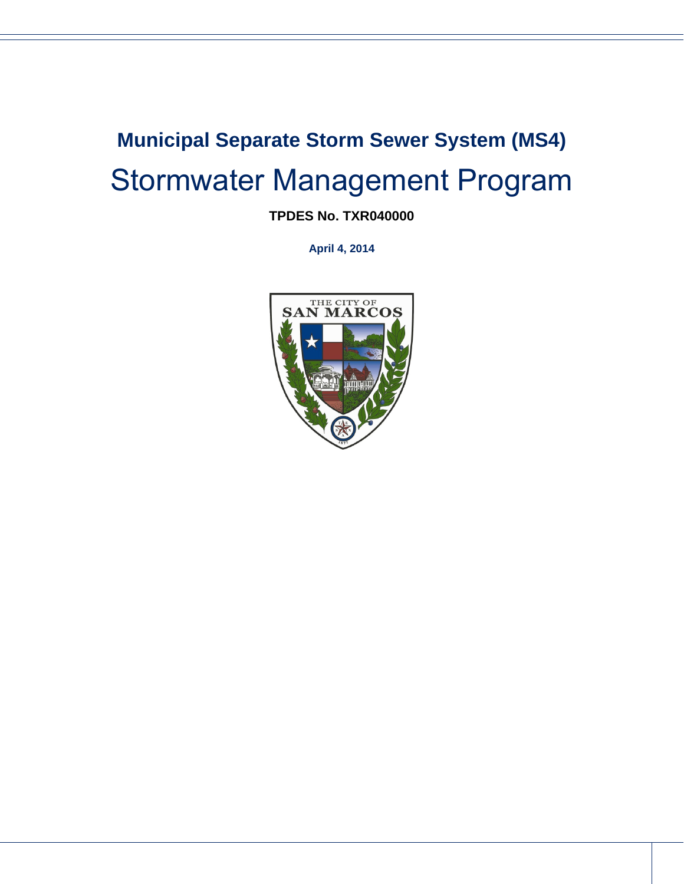# **Municipal Separate Storm Sewer System (MS4)**  Stormwater Management Program

## **TPDES No. TXR040000**

**April 4, 2014**

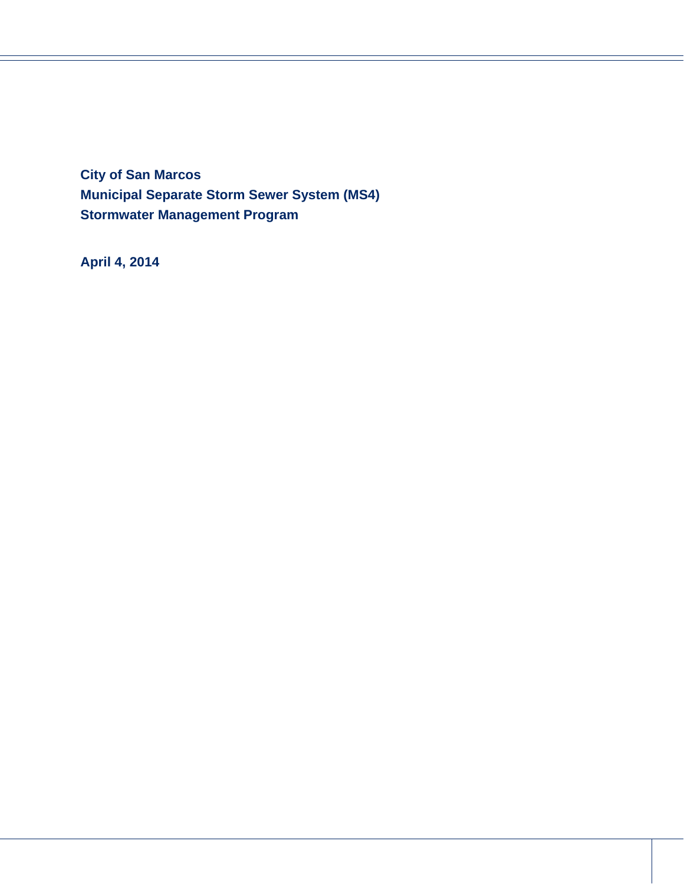**City of San Marcos Municipal Separate Storm Sewer System (MS4) Stormwater Management Program**

**April 4, 2014** 

i<br>I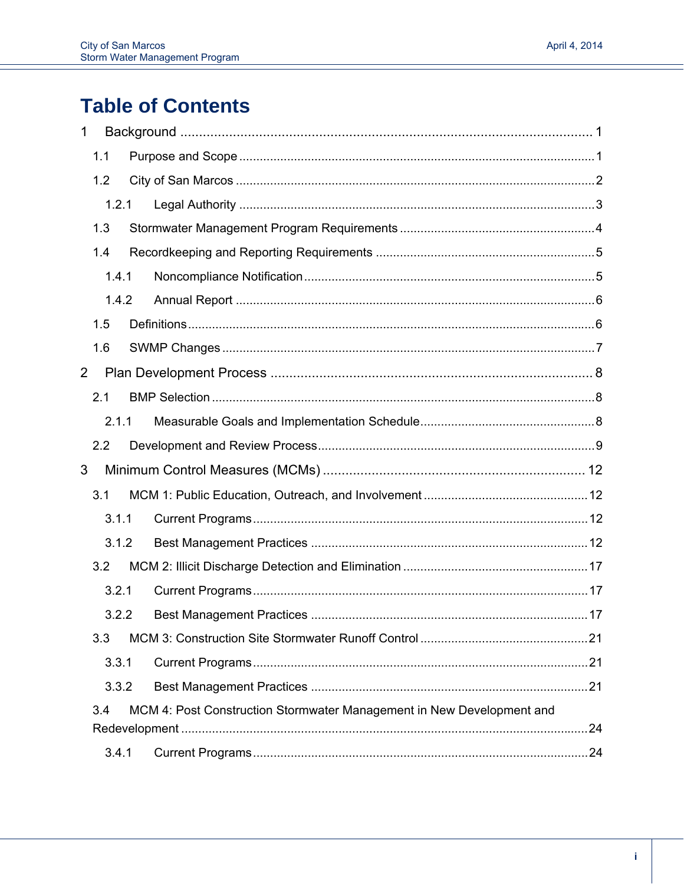## **Table of Contents**

| 1              |     |       |                                                                       |  |
|----------------|-----|-------|-----------------------------------------------------------------------|--|
|                | 1.1 |       |                                                                       |  |
|                | 1.2 |       |                                                                       |  |
|                |     | 1.2.1 |                                                                       |  |
|                | 1.3 |       |                                                                       |  |
|                | 1.4 |       |                                                                       |  |
|                |     | 1.4.1 |                                                                       |  |
|                |     | 1.4.2 |                                                                       |  |
|                | 1.5 |       |                                                                       |  |
|                | 1.6 |       |                                                                       |  |
| $\overline{2}$ |     |       |                                                                       |  |
|                | 2.1 |       |                                                                       |  |
|                |     | 2.1.1 |                                                                       |  |
|                | 2.2 |       |                                                                       |  |
| 3              |     |       |                                                                       |  |
|                | 3.1 |       |                                                                       |  |
|                |     | 3.1.1 |                                                                       |  |
|                |     | 3.1.2 |                                                                       |  |
|                | 3.2 |       |                                                                       |  |
|                |     | 3.2.1 |                                                                       |  |
|                |     | 3.2.2 |                                                                       |  |
|                | 3.3 |       |                                                                       |  |
|                |     | 3.3.1 |                                                                       |  |
|                |     | 3.3.2 |                                                                       |  |
|                | 3.4 |       | MCM 4: Post Construction Stormwater Management in New Development and |  |
|                |     | 3.4.1 |                                                                       |  |
|                |     |       |                                                                       |  |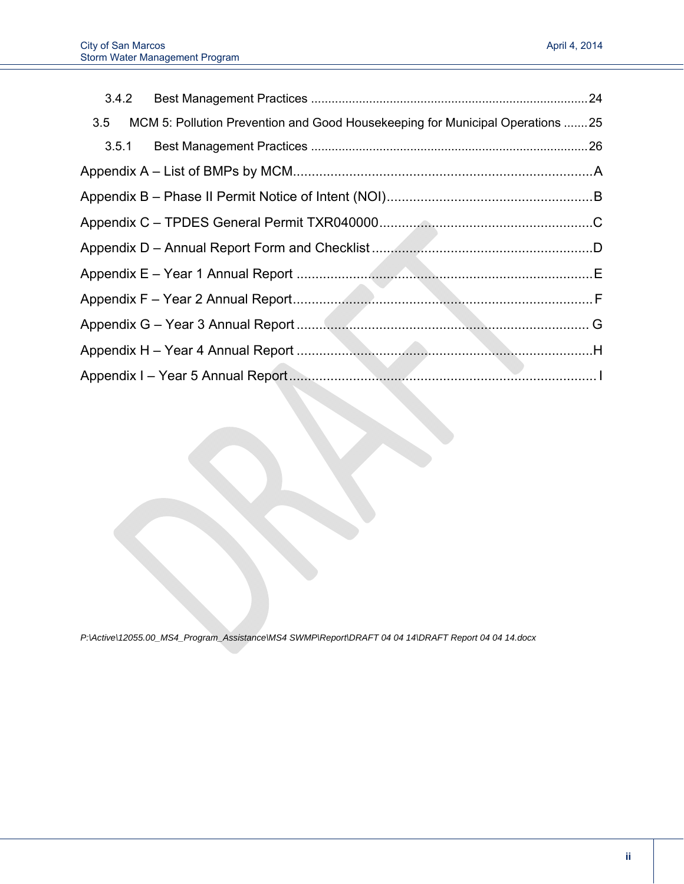| 3.5   | MCM 5: Pollution Prevention and Good Housekeeping for Municipal Operations 25 |  |
|-------|-------------------------------------------------------------------------------|--|
| 3.5.1 |                                                                               |  |
|       |                                                                               |  |
|       |                                                                               |  |
|       |                                                                               |  |
|       |                                                                               |  |
|       |                                                                               |  |
|       |                                                                               |  |
|       |                                                                               |  |
|       |                                                                               |  |
|       |                                                                               |  |

*P:\Active\12055.00\_MS4\_Program\_Assistance\MS4 SWMP\Report\DRAFT 04 04 14\DRAFT Report 04 04 14.docx*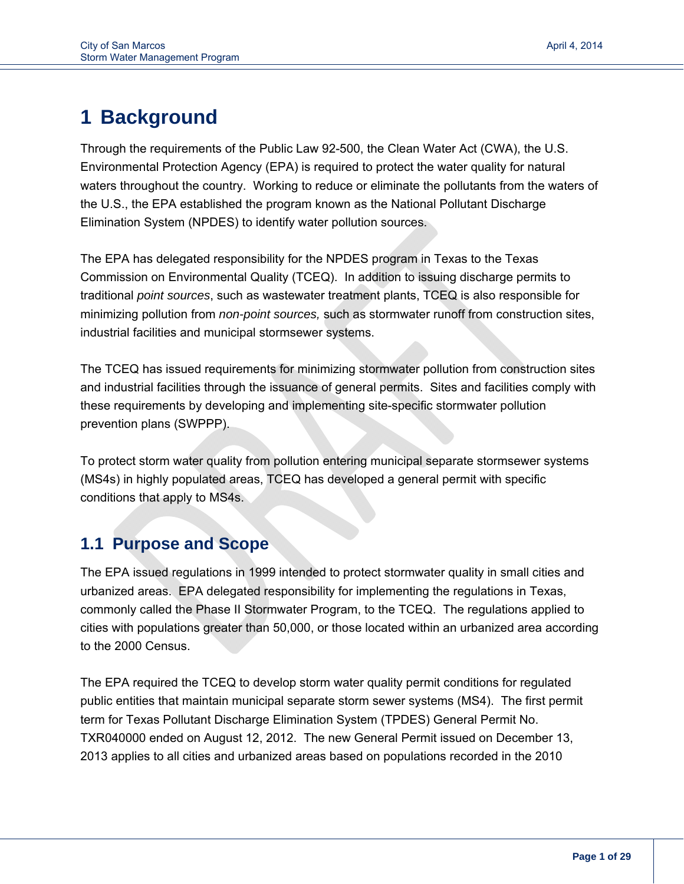## **1 Background**

i<br>I

Through the requirements of the Public Law 92-500, the Clean Water Act (CWA), the U.S. Environmental Protection Agency (EPA) is required to protect the water quality for natural waters throughout the country. Working to reduce or eliminate the pollutants from the waters of the U.S., the EPA established the program known as the National Pollutant Discharge Elimination System (NPDES) to identify water pollution sources.

The EPA has delegated responsibility for the NPDES program in Texas to the Texas Commission on Environmental Quality (TCEQ). In addition to issuing discharge permits to traditional *point sources*, such as wastewater treatment plants, TCEQ is also responsible for minimizing pollution from *non-point sources,* such as stormwater runoff from construction sites, industrial facilities and municipal stormsewer systems.

The TCEQ has issued requirements for minimizing stormwater pollution from construction sites and industrial facilities through the issuance of general permits. Sites and facilities comply with these requirements by developing and implementing site-specific stormwater pollution prevention plans (SWPPP).

To protect storm water quality from pollution entering municipal separate stormsewer systems (MS4s) in highly populated areas, TCEQ has developed a general permit with specific conditions that apply to MS4s.

## **1.1 Purpose and Scope**

The EPA issued regulations in 1999 intended to protect stormwater quality in small cities and urbanized areas. EPA delegated responsibility for implementing the regulations in Texas, commonly called the Phase II Stormwater Program, to the TCEQ. The regulations applied to cities with populations greater than 50,000, or those located within an urbanized area according to the 2000 Census.

The EPA required the TCEQ to develop storm water quality permit conditions for regulated public entities that maintain municipal separate storm sewer systems (MS4). The first permit term for Texas Pollutant Discharge Elimination System (TPDES) General Permit No. TXR040000 ended on August 12, 2012. The new General Permit issued on December 13, 2013 applies to all cities and urbanized areas based on populations recorded in the 2010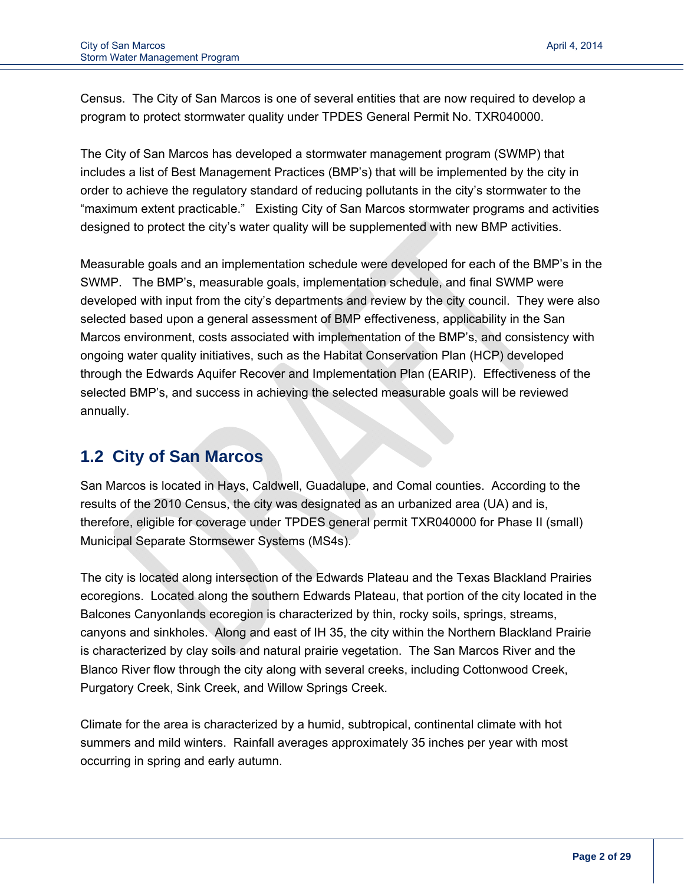Census. The City of San Marcos is one of several entities that are now required to develop a program to protect stormwater quality under TPDES General Permit No. TXR040000.

The City of San Marcos has developed a stormwater management program (SWMP) that includes a list of Best Management Practices (BMP's) that will be implemented by the city in order to achieve the regulatory standard of reducing pollutants in the city's stormwater to the "maximum extent practicable." Existing City of San Marcos stormwater programs and activities designed to protect the city's water quality will be supplemented with new BMP activities.

Measurable goals and an implementation schedule were developed for each of the BMP's in the SWMP. The BMP's, measurable goals, implementation schedule, and final SWMP were developed with input from the city's departments and review by the city council. They were also selected based upon a general assessment of BMP effectiveness, applicability in the San Marcos environment, costs associated with implementation of the BMP's, and consistency with ongoing water quality initiatives, such as the Habitat Conservation Plan (HCP) developed through the Edwards Aquifer Recover and Implementation Plan (EARIP). Effectiveness of the selected BMP's, and success in achieving the selected measurable goals will be reviewed annually.

## **1.2 City of San Marcos**

San Marcos is located in Hays, Caldwell, Guadalupe, and Comal counties. According to the results of the 2010 Census, the city was designated as an urbanized area (UA) and is, therefore, eligible for coverage under TPDES general permit TXR040000 for Phase II (small) Municipal Separate Stormsewer Systems (MS4s).

The city is located along intersection of the Edwards Plateau and the Texas Blackland Prairies ecoregions. Located along the southern Edwards Plateau, that portion of the city located in the Balcones Canyonlands ecoregion is characterized by thin, rocky soils, springs, streams, canyons and sinkholes. Along and east of IH 35, the city within the Northern Blackland Prairie is characterized by clay soils and natural prairie vegetation. The San Marcos River and the Blanco River flow through the city along with several creeks, including Cottonwood Creek, Purgatory Creek, Sink Creek, and Willow Springs Creek.

Climate for the area is characterized by a humid, subtropical, continental climate with hot summers and mild winters. Rainfall averages approximately 35 inches per year with most occurring in spring and early autumn.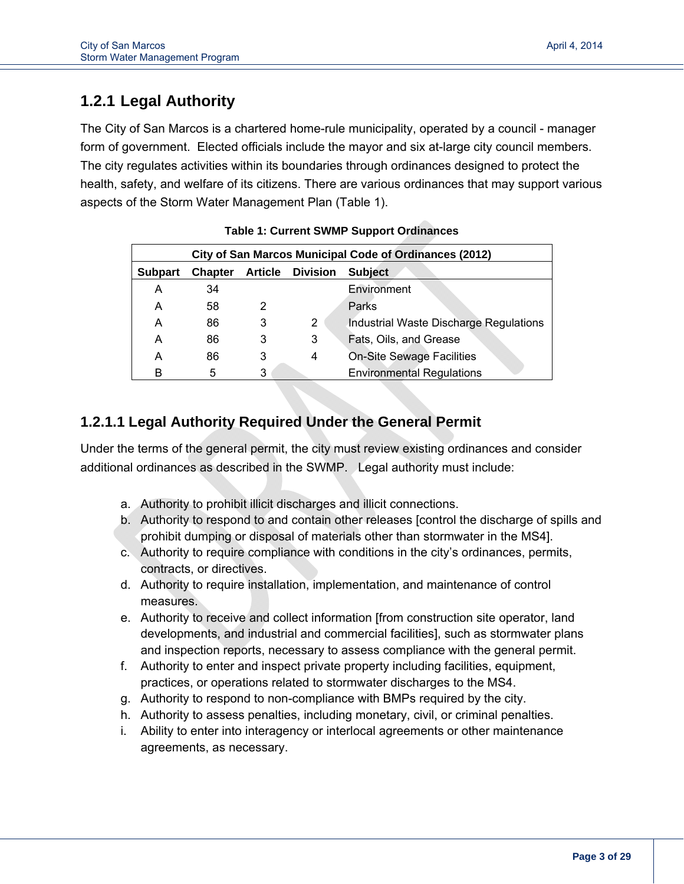## **1.2.1 Legal Authority**

The City of San Marcos is a chartered home-rule municipality, operated by a council - manager form of government. Elected officials include the mayor and six at-large city council members. The city regulates activities within its boundaries through ordinances designed to protect the health, safety, and welfare of its citizens. There are various ordinances that may support various aspects of the Storm Water Management Plan (Table 1).

|                |                |   |                         | City of San Marcos Municipal Code of Ordinances (2012) |
|----------------|----------------|---|-------------------------|--------------------------------------------------------|
| <b>Subpart</b> | <b>Chapter</b> |   | <b>Article Division</b> | <b>Subject</b>                                         |
| А              | 34             |   |                         | Environment                                            |
| А              | 58             | 2 |                         | Parks                                                  |
| А              | 86             | 3 | 2                       | Industrial Waste Discharge Regulations                 |
| А              | 86             | 3 | 3                       | Fats, Oils, and Grease                                 |
| А              | 86             | 3 | 4                       | <b>On-Site Sewage Facilities</b>                       |
| в              | 5              | 3 |                         | <b>Environmental Regulations</b>                       |

#### **Table 1: Current SWMP Support Ordinances**

## **1.2.1.1 Legal Authority Required Under the General Permit**

Under the terms of the general permit, the city must review existing ordinances and consider additional ordinances as described in the SWMP. Legal authority must include:

- a. Authority to prohibit illicit discharges and illicit connections.
- b. Authority to respond to and contain other releases [control the discharge of spills and prohibit dumping or disposal of materials other than stormwater in the MS4].
- c. Authority to require compliance with conditions in the city's ordinances, permits, contracts, or directives.
- d. Authority to require installation, implementation, and maintenance of control measures.
- e. Authority to receive and collect information [from construction site operator, land developments, and industrial and commercial facilities], such as stormwater plans and inspection reports, necessary to assess compliance with the general permit.
- f. Authority to enter and inspect private property including facilities, equipment, practices, or operations related to stormwater discharges to the MS4.
- g. Authority to respond to non-compliance with BMPs required by the city.
- h. Authority to assess penalties, including monetary, civil, or criminal penalties.
- i. Ability to enter into interagency or interlocal agreements or other maintenance agreements, as necessary.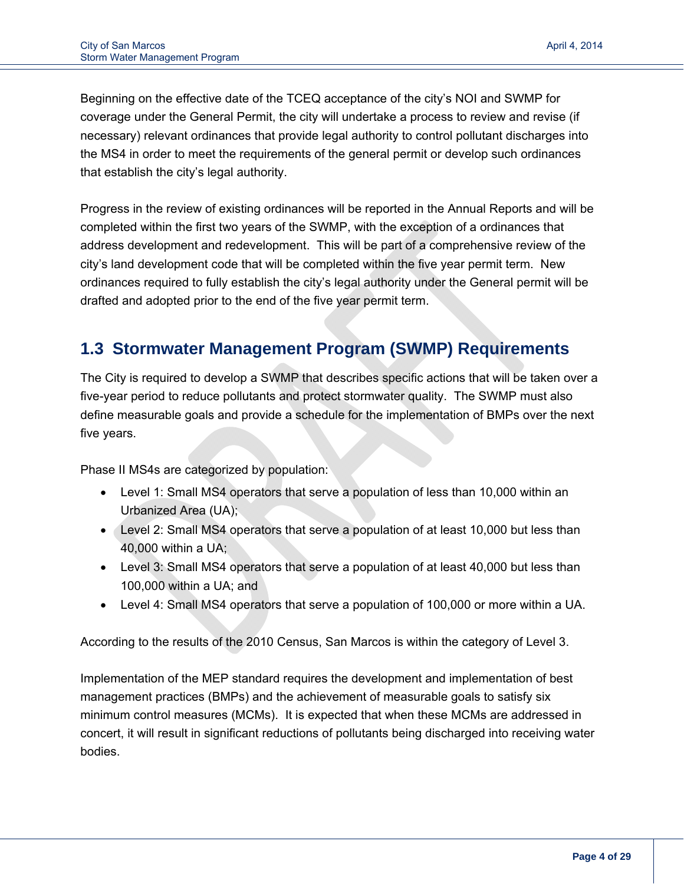Beginning on the effective date of the TCEQ acceptance of the city's NOI and SWMP for coverage under the General Permit, the city will undertake a process to review and revise (if necessary) relevant ordinances that provide legal authority to control pollutant discharges into the MS4 in order to meet the requirements of the general permit or develop such ordinances that establish the city's legal authority.

Progress in the review of existing ordinances will be reported in the Annual Reports and will be completed within the first two years of the SWMP, with the exception of a ordinances that address development and redevelopment. This will be part of a comprehensive review of the city's land development code that will be completed within the five year permit term. New ordinances required to fully establish the city's legal authority under the General permit will be drafted and adopted prior to the end of the five year permit term.

## **1.3 Stormwater Management Program (SWMP) Requirements**

The City is required to develop a SWMP that describes specific actions that will be taken over a five-year period to reduce pollutants and protect stormwater quality. The SWMP must also define measurable goals and provide a schedule for the implementation of BMPs over the next five years.

Phase II MS4s are categorized by population:

- Level 1: Small MS4 operators that serve a population of less than 10,000 within an Urbanized Area (UA);
- Level 2: Small MS4 operators that serve a population of at least 10,000 but less than 40,000 within a UA;
- Level 3: Small MS4 operators that serve a population of at least 40,000 but less than 100,000 within a UA; and
- Level 4: Small MS4 operators that serve a population of 100,000 or more within a UA.

According to the results of the 2010 Census, San Marcos is within the category of Level 3.

Implementation of the MEP standard requires the development and implementation of best management practices (BMPs) and the achievement of measurable goals to satisfy six minimum control measures (MCMs). It is expected that when these MCMs are addressed in concert, it will result in significant reductions of pollutants being discharged into receiving water bodies.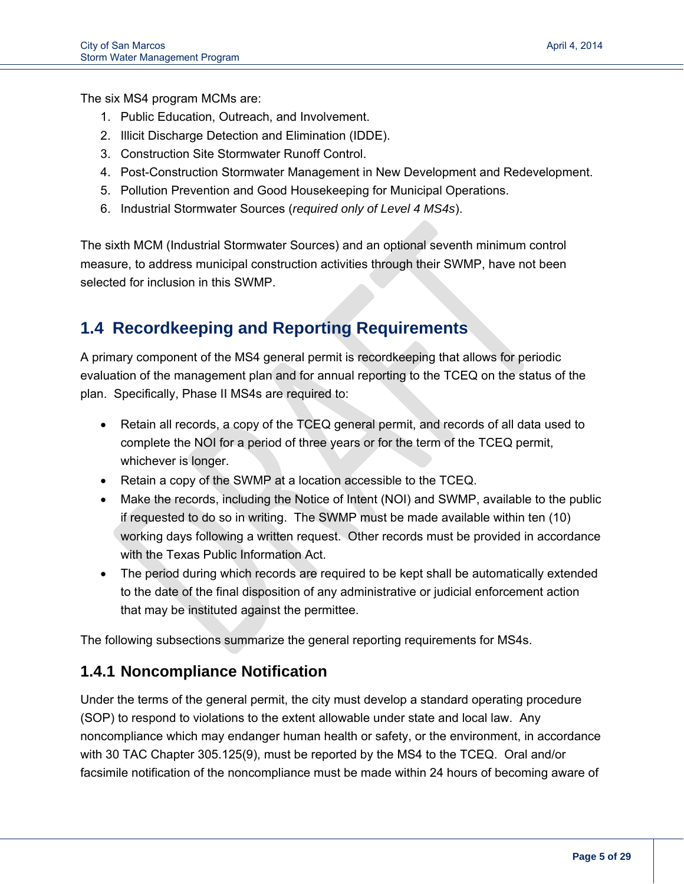The six MS4 program MCMs are:

- 1. Public Education, Outreach, and Involvement.
- 2. Illicit Discharge Detection and Elimination (IDDE).
- 3. Construction Site Stormwater Runoff Control.
- 4. Post-Construction Stormwater Management in New Development and Redevelopment.
- 5. Pollution Prevention and Good Housekeeping for Municipal Operations.
- 6. Industrial Stormwater Sources (*required only of Level 4 MS4s*).

The sixth MCM (Industrial Stormwater Sources) and an optional seventh minimum control measure, to address municipal construction activities through their SWMP, have not been selected for inclusion in this SWMP.

## **1.4 Recordkeeping and Reporting Requirements**

A primary component of the MS4 general permit is recordkeeping that allows for periodic evaluation of the management plan and for annual reporting to the TCEQ on the status of the plan. Specifically, Phase II MS4s are required to:

- Retain all records, a copy of the TCEQ general permit, and records of all data used to complete the NOI for a period of three years or for the term of the TCEQ permit, whichever is longer.
- Retain a copy of the SWMP at a location accessible to the TCEQ.
- Make the records, including the Notice of Intent (NOI) and SWMP, available to the public if requested to do so in writing. The SWMP must be made available within ten (10) working days following a written request. Other records must be provided in accordance with the Texas Public Information Act.
- The period during which records are required to be kept shall be automatically extended to the date of the final disposition of any administrative or judicial enforcement action that may be instituted against the permittee.

The following subsections summarize the general reporting requirements for MS4s.

## **1.4.1 Noncompliance Notification**

Under the terms of the general permit, the city must develop a standard operating procedure (SOP) to respond to violations to the extent allowable under state and local law. Any noncompliance which may endanger human health or safety, or the environment, in accordance with 30 TAC Chapter 305.125(9), must be reported by the MS4 to the TCEQ. Oral and/or facsimile notification of the noncompliance must be made within 24 hours of becoming aware of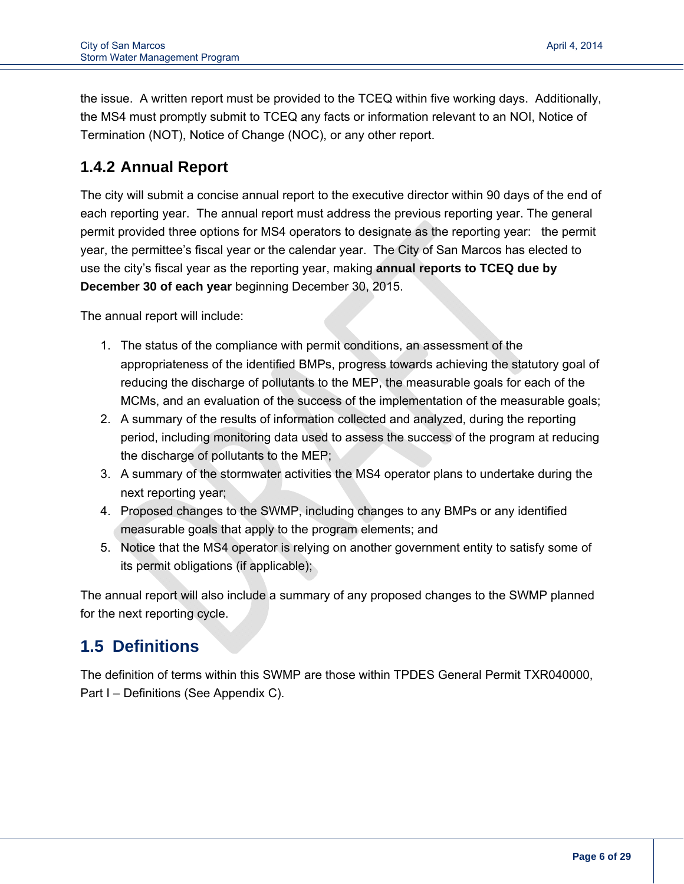the issue. A written report must be provided to the TCEQ within five working days. Additionally, the MS4 must promptly submit to TCEQ any facts or information relevant to an NOI, Notice of Termination (NOT), Notice of Change (NOC), or any other report.

## **1.4.2 Annual Report**

The city will submit a concise annual report to the executive director within 90 days of the end of each reporting year. The annual report must address the previous reporting year. The general permit provided three options for MS4 operators to designate as the reporting year: the permit year, the permittee's fiscal year or the calendar year. The City of San Marcos has elected to use the city's fiscal year as the reporting year, making **annual reports to TCEQ due by December 30 of each year** beginning December 30, 2015.

The annual report will include:

- 1. The status of the compliance with permit conditions, an assessment of the appropriateness of the identified BMPs, progress towards achieving the statutory goal of reducing the discharge of pollutants to the MEP, the measurable goals for each of the MCMs, and an evaluation of the success of the implementation of the measurable goals;
- 2. A summary of the results of information collected and analyzed, during the reporting period, including monitoring data used to assess the success of the program at reducing the discharge of pollutants to the MEP;
- 3. A summary of the stormwater activities the MS4 operator plans to undertake during the next reporting year;
- 4. Proposed changes to the SWMP, including changes to any BMPs or any identified measurable goals that apply to the program elements; and
- 5. Notice that the MS4 operator is relying on another government entity to satisfy some of its permit obligations (if applicable);

The annual report will also include a summary of any proposed changes to the SWMP planned for the next reporting cycle.

## **1.5 Definitions**

The definition of terms within this SWMP are those within TPDES General Permit TXR040000, Part I – Definitions (See Appendix C).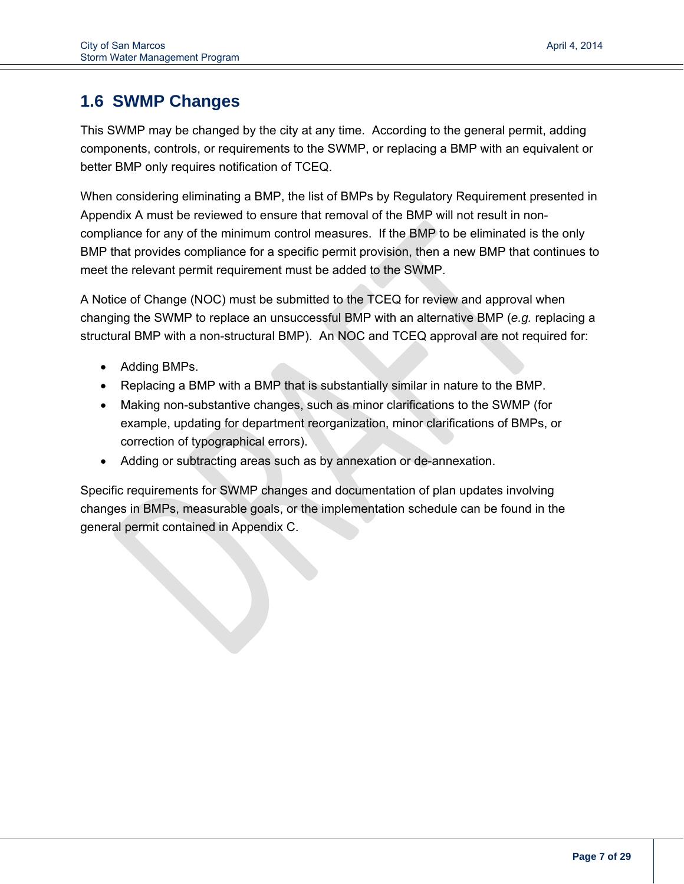## **1.6 SWMP Changes**

This SWMP may be changed by the city at any time. According to the general permit, adding components, controls, or requirements to the SWMP, or replacing a BMP with an equivalent or better BMP only requires notification of TCEQ.

When considering eliminating a BMP, the list of BMPs by Regulatory Requirement presented in Appendix A must be reviewed to ensure that removal of the BMP will not result in noncompliance for any of the minimum control measures. If the BMP to be eliminated is the only BMP that provides compliance for a specific permit provision, then a new BMP that continues to meet the relevant permit requirement must be added to the SWMP.

A Notice of Change (NOC) must be submitted to the TCEQ for review and approval when changing the SWMP to replace an unsuccessful BMP with an alternative BMP (*e.g.* replacing a structural BMP with a non-structural BMP). An NOC and TCEQ approval are not required for:

- Adding BMPs.
- Replacing a BMP with a BMP that is substantially similar in nature to the BMP.
- Making non-substantive changes, such as minor clarifications to the SWMP (for example, updating for department reorganization, minor clarifications of BMPs, or correction of typographical errors).
- Adding or subtracting areas such as by annexation or de-annexation.

Specific requirements for SWMP changes and documentation of plan updates involving changes in BMPs, measurable goals, or the implementation schedule can be found in the general permit contained in Appendix C.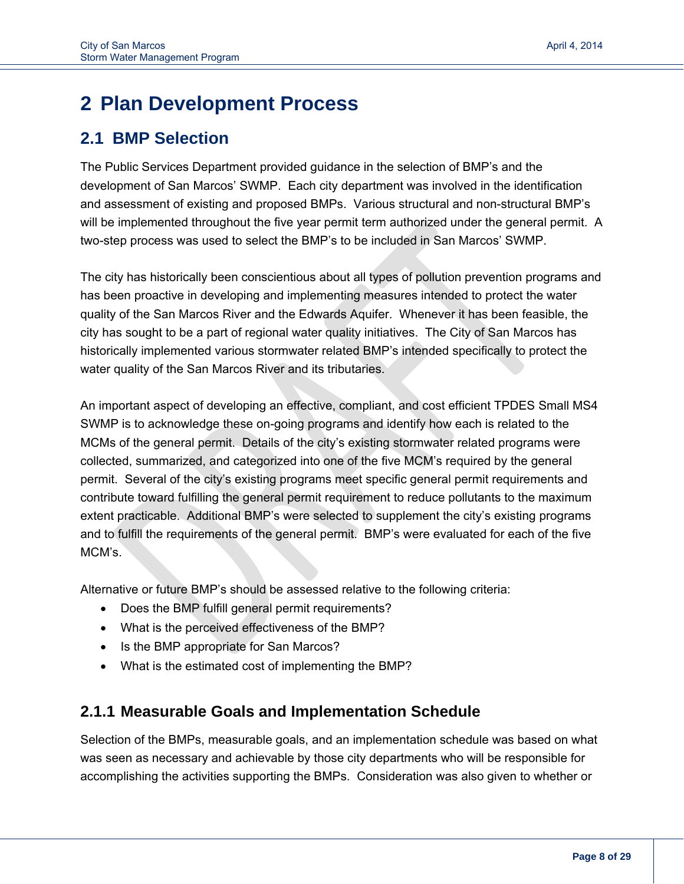## **2 Plan Development Process**

## **2.1 BMP Selection**

The Public Services Department provided guidance in the selection of BMP's and the development of San Marcos' SWMP. Each city department was involved in the identification and assessment of existing and proposed BMPs. Various structural and non-structural BMP's will be implemented throughout the five year permit term authorized under the general permit. A two-step process was used to select the BMP's to be included in San Marcos' SWMP.

The city has historically been conscientious about all types of pollution prevention programs and has been proactive in developing and implementing measures intended to protect the water quality of the San Marcos River and the Edwards Aquifer. Whenever it has been feasible, the city has sought to be a part of regional water quality initiatives. The City of San Marcos has historically implemented various stormwater related BMP's intended specifically to protect the water quality of the San Marcos River and its tributaries.

An important aspect of developing an effective, compliant, and cost efficient TPDES Small MS4 SWMP is to acknowledge these on-going programs and identify how each is related to the MCMs of the general permit. Details of the city's existing stormwater related programs were collected, summarized, and categorized into one of the five MCM's required by the general permit. Several of the city's existing programs meet specific general permit requirements and contribute toward fulfilling the general permit requirement to reduce pollutants to the maximum extent practicable. Additional BMP's were selected to supplement the city's existing programs and to fulfill the requirements of the general permit. BMP's were evaluated for each of the five MCM's.

Alternative or future BMP's should be assessed relative to the following criteria:

- Does the BMP fulfill general permit requirements?
- What is the perceived effectiveness of the BMP?
- Is the BMP appropriate for San Marcos?
- What is the estimated cost of implementing the BMP?

## **2.1.1 Measurable Goals and Implementation Schedule**

Selection of the BMPs, measurable goals, and an implementation schedule was based on what was seen as necessary and achievable by those city departments who will be responsible for accomplishing the activities supporting the BMPs. Consideration was also given to whether or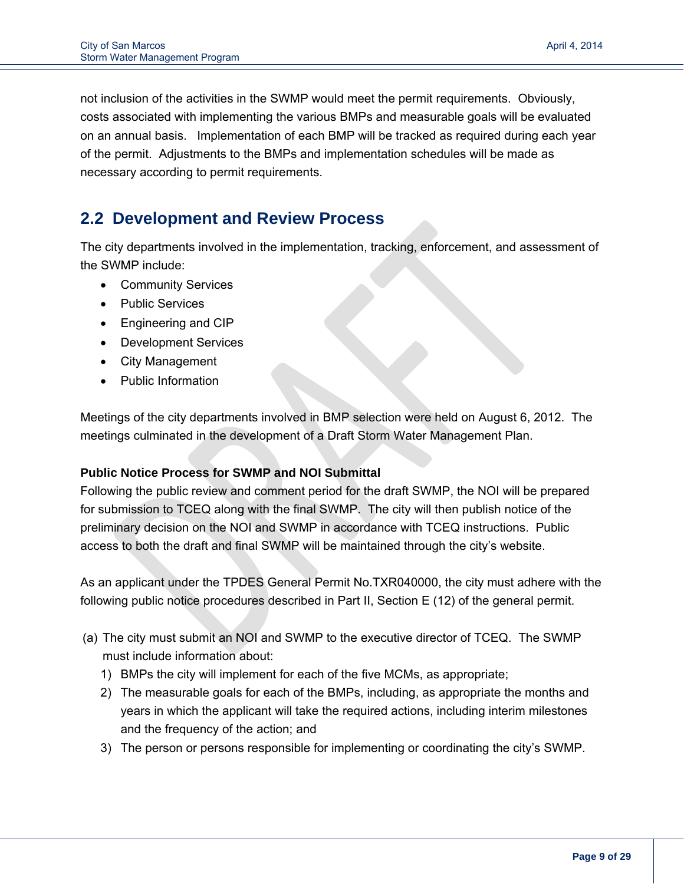not inclusion of the activities in the SWMP would meet the permit requirements. Obviously, costs associated with implementing the various BMPs and measurable goals will be evaluated on an annual basis. Implementation of each BMP will be tracked as required during each year of the permit. Adjustments to the BMPs and implementation schedules will be made as necessary according to permit requirements.

## **2.2 Development and Review Process**

The city departments involved in the implementation, tracking, enforcement, and assessment of the SWMP include:

- Community Services
- Public Services
- Engineering and CIP
- Development Services
- City Management
- Public Information

Meetings of the city departments involved in BMP selection were held on August 6, 2012. The meetings culminated in the development of a Draft Storm Water Management Plan.

#### **Public Notice Process for SWMP and NOI Submittal**

Following the public review and comment period for the draft SWMP, the NOI will be prepared for submission to TCEQ along with the final SWMP. The city will then publish notice of the preliminary decision on the NOI and SWMP in accordance with TCEQ instructions. Public access to both the draft and final SWMP will be maintained through the city's website.

As an applicant under the TPDES General Permit No.TXR040000, the city must adhere with the following public notice procedures described in Part II, Section E (12) of the general permit.

- (a) The city must submit an NOI and SWMP to the executive director of TCEQ. The SWMP must include information about:
	- 1) BMPs the city will implement for each of the five MCMs, as appropriate;
	- 2) The measurable goals for each of the BMPs, including, as appropriate the months and years in which the applicant will take the required actions, including interim milestones and the frequency of the action; and
	- 3) The person or persons responsible for implementing or coordinating the city's SWMP.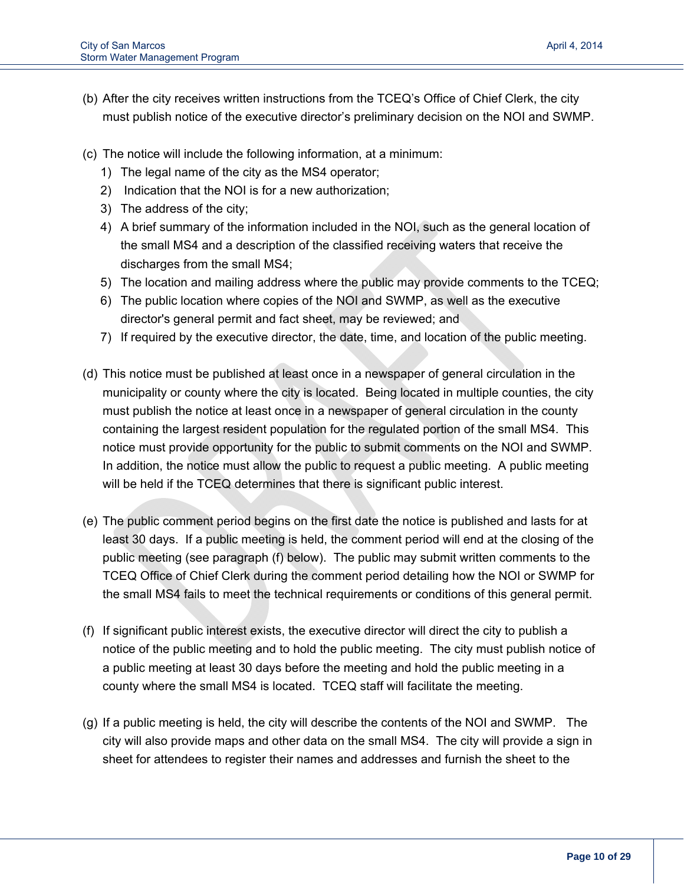- (b) After the city receives written instructions from the TCEQ's Office of Chief Clerk, the city must publish notice of the executive director's preliminary decision on the NOI and SWMP.
- (c) The notice will include the following information, at a minimum:
	- 1) The legal name of the city as the MS4 operator;
	- 2) Indication that the NOI is for a new authorization;
	- 3) The address of the city;
	- 4) A brief summary of the information included in the NOI, such as the general location of the small MS4 and a description of the classified receiving waters that receive the discharges from the small MS4;
	- 5) The location and mailing address where the public may provide comments to the TCEQ;
	- 6) The public location where copies of the NOI and SWMP, as well as the executive director's general permit and fact sheet, may be reviewed; and
	- 7) If required by the executive director, the date, time, and location of the public meeting.
- (d) This notice must be published at least once in a newspaper of general circulation in the municipality or county where the city is located. Being located in multiple counties, the city must publish the notice at least once in a newspaper of general circulation in the county containing the largest resident population for the regulated portion of the small MS4. This notice must provide opportunity for the public to submit comments on the NOI and SWMP. In addition, the notice must allow the public to request a public meeting. A public meeting will be held if the TCEQ determines that there is significant public interest.
- (e) The public comment period begins on the first date the notice is published and lasts for at least 30 days. If a public meeting is held, the comment period will end at the closing of the public meeting (see paragraph (f) below). The public may submit written comments to the TCEQ Office of Chief Clerk during the comment period detailing how the NOI or SWMP for the small MS4 fails to meet the technical requirements or conditions of this general permit.
- (f) If significant public interest exists, the executive director will direct the city to publish a notice of the public meeting and to hold the public meeting. The city must publish notice of a public meeting at least 30 days before the meeting and hold the public meeting in a county where the small MS4 is located. TCEQ staff will facilitate the meeting.
- (g) If a public meeting is held, the city will describe the contents of the NOI and SWMP. The city will also provide maps and other data on the small MS4. The city will provide a sign in sheet for attendees to register their names and addresses and furnish the sheet to the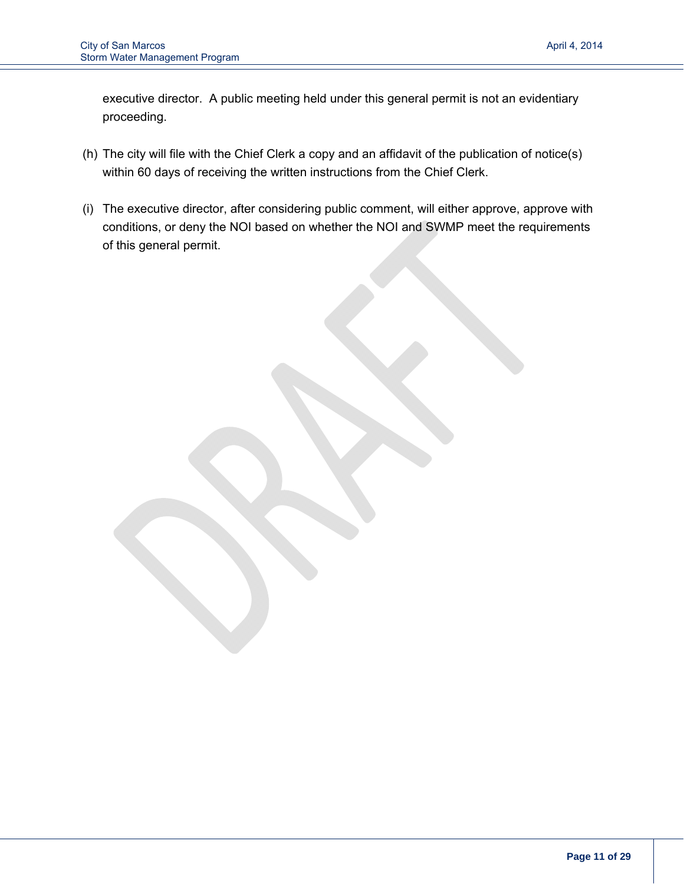executive director. A public meeting held under this general permit is not an evidentiary proceeding.

- (h) The city will file with the Chief Clerk a copy and an affidavit of the publication of notice(s) within 60 days of receiving the written instructions from the Chief Clerk.
- (i) The executive director, after considering public comment, will either approve, approve with conditions, or deny the NOI based on whether the NOI and SWMP meet the requirements of this general permit.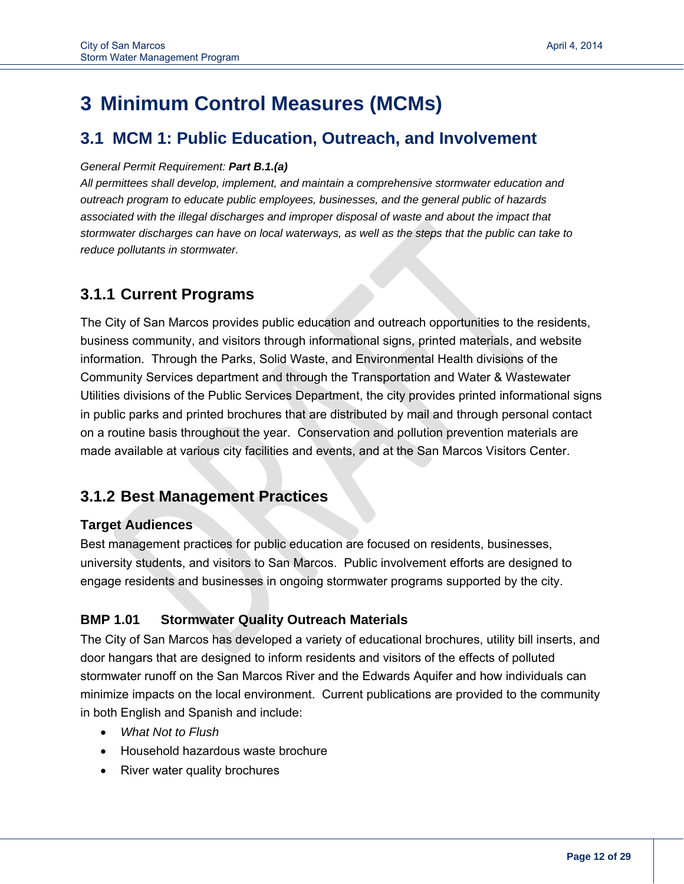## **3 Minimum Control Measures (MCMs)**

## **3.1 MCM 1: Public Education, Outreach, and Involvement**

#### *General Permit Requirement: Part B.1.(a)*

*All permittees shall develop, implement, and maintain a comprehensive stormwater education and outreach program to educate public employees, businesses, and the general public of hazards associated with the illegal discharges and improper disposal of waste and about the impact that stormwater discharges can have on local waterways, as well as the steps that the public can take to reduce pollutants in stormwater.*

## **3.1.1 Current Programs**

The City of San Marcos provides public education and outreach opportunities to the residents, business community, and visitors through informational signs, printed materials, and website information. Through the Parks, Solid Waste, and Environmental Health divisions of the Community Services department and through the Transportation and Water & Wastewater Utilities divisions of the Public Services Department, the city provides printed informational signs in public parks and printed brochures that are distributed by mail and through personal contact on a routine basis throughout the year. Conservation and pollution prevention materials are made available at various city facilities and events, and at the San Marcos Visitors Center.

## **3.1.2 Best Management Practices**

### **Target Audiences**

Best management practices for public education are focused on residents, businesses, university students, and visitors to San Marcos. Public involvement efforts are designed to engage residents and businesses in ongoing stormwater programs supported by the city.

### **BMP 1.01 Stormwater Quality Outreach Materials**

The City of San Marcos has developed a variety of educational brochures, utility bill inserts, and door hangars that are designed to inform residents and visitors of the effects of polluted stormwater runoff on the San Marcos River and the Edwards Aquifer and how individuals can minimize impacts on the local environment. Current publications are provided to the community in both English and Spanish and include:

- *What Not to Flush*
- Household hazardous waste brochure
- River water quality brochures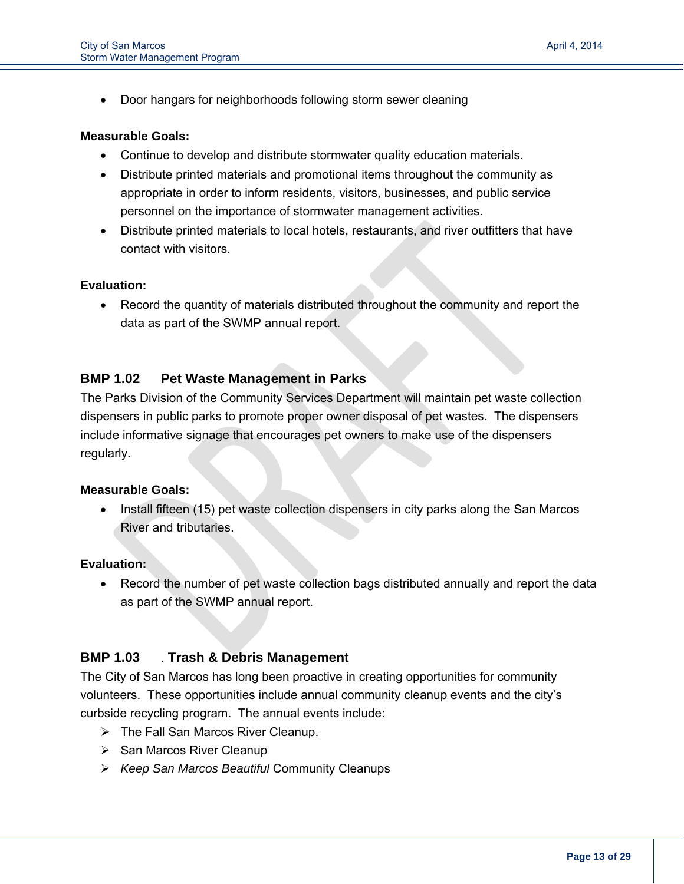Door hangars for neighborhoods following storm sewer cleaning

#### **Measurable Goals:**

i<br>I

- Continue to develop and distribute stormwater quality education materials.
- Distribute printed materials and promotional items throughout the community as appropriate in order to inform residents, visitors, businesses, and public service personnel on the importance of stormwater management activities.
- Distribute printed materials to local hotels, restaurants, and river outfitters that have contact with visitors.

#### **Evaluation:**

 Record the quantity of materials distributed throughout the community and report the data as part of the SWMP annual report.

#### **BMP 1.02 Pet Waste Management in Parks**

The Parks Division of the Community Services Department will maintain pet waste collection dispensers in public parks to promote proper owner disposal of pet wastes. The dispensers include informative signage that encourages pet owners to make use of the dispensers regularly.

#### **Measurable Goals:**

 Install fifteen (15) pet waste collection dispensers in city parks along the San Marcos River and tributaries.

#### **Evaluation:**

 Record the number of pet waste collection bags distributed annually and report the data as part of the SWMP annual report.

#### **BMP 1.03** . **Trash & Debris Management**

The City of San Marcos has long been proactive in creating opportunities for community volunteers. These opportunities include annual community cleanup events and the city's curbside recycling program. The annual events include:

- $\triangleright$  The Fall San Marcos River Cleanup.
- $\triangleright$  San Marcos River Cleanup
- *Keep San Marcos Beautiful* Community Cleanups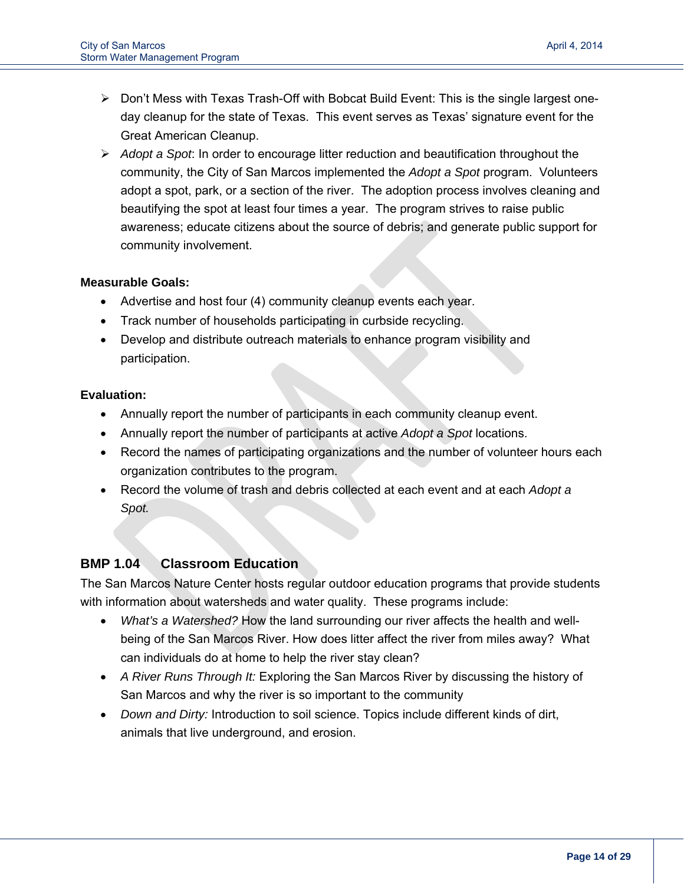- $\triangleright$  Don't Mess with Texas Trash-Off with Bobcat Build Event: This is the single largest oneday cleanup for the state of Texas. This event serves as Texas' signature event for the Great American Cleanup.
- *Adopt a Spot*: In order to encourage litter reduction and beautification throughout the community, the City of San Marcos implemented the *Adopt a Spot* program. Volunteers adopt a spot, park, or a section of the river. The adoption process involves cleaning and beautifying the spot at least four times a year. The program strives to raise public awareness; educate citizens about the source of debris; and generate public support for community involvement.

#### **Measurable Goals:**

- Advertise and host four (4) community cleanup events each year.
- Track number of households participating in curbside recycling.
- Develop and distribute outreach materials to enhance program visibility and participation.

#### **Evaluation:**

- Annually report the number of participants in each community cleanup event.
- Annually report the number of participants at active *Adopt a Spot* locations.
- Record the names of participating organizations and the number of volunteer hours each organization contributes to the program.
- Record the volume of trash and debris collected at each event and at each *Adopt a Spot.*

#### **BMP 1.04 Classroom Education**

The San Marcos Nature Center hosts regular outdoor education programs that provide students with information about watersheds and water quality. These programs include:

- *What's a Watershed?* How the land surrounding our river affects the health and wellbeing of the San Marcos River. How does litter affect the river from miles away? What can individuals do at home to help the river stay clean?
- *A River Runs Through It:* Exploring the San Marcos River by discussing the history of San Marcos and why the river is so important to the community
- *Down and Dirty:* Introduction to soil science. Topics include different kinds of dirt, animals that live underground, and erosion.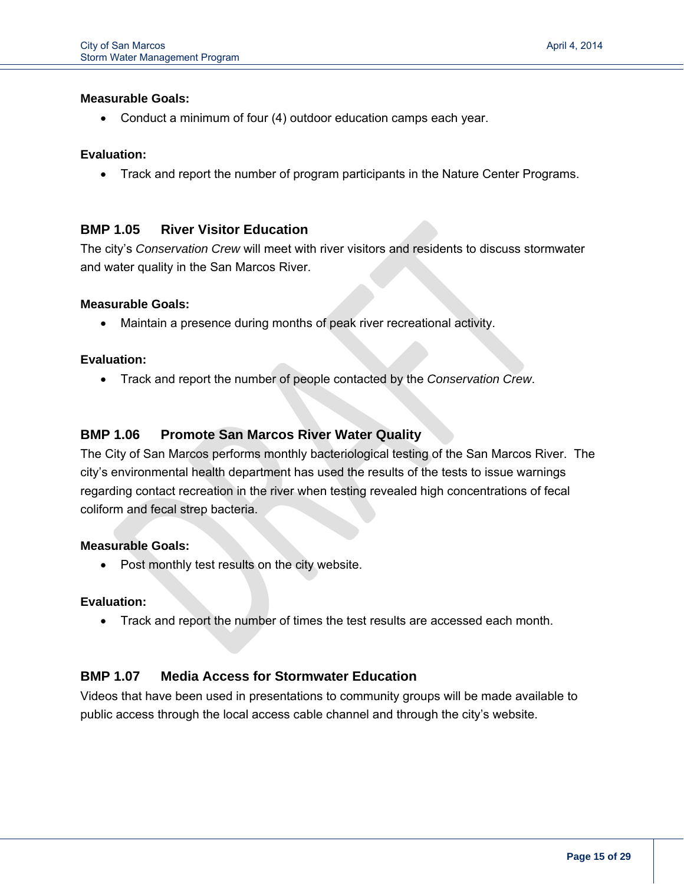Conduct a minimum of four (4) outdoor education camps each year.

#### **Evaluation:**

i<br>I

Track and report the number of program participants in the Nature Center Programs.

#### **BMP 1.05 River Visitor Education**

The city's *Conservation Crew* will meet with river visitors and residents to discuss stormwater and water quality in the San Marcos River.

#### **Measurable Goals:**

Maintain a presence during months of peak river recreational activity.

#### **Evaluation:**

Track and report the number of people contacted by the *Conservation Crew*.

#### **BMP 1.06 Promote San Marcos River Water Quality**

The City of San Marcos performs monthly bacteriological testing of the San Marcos River. The city's environmental health department has used the results of the tests to issue warnings regarding contact recreation in the river when testing revealed high concentrations of fecal coliform and fecal strep bacteria.

#### **Measurable Goals:**

• Post monthly test results on the city website.

#### **Evaluation:**

Track and report the number of times the test results are accessed each month.

#### **BMP 1.07 Media Access for Stormwater Education**

Videos that have been used in presentations to community groups will be made available to public access through the local access cable channel and through the city's website.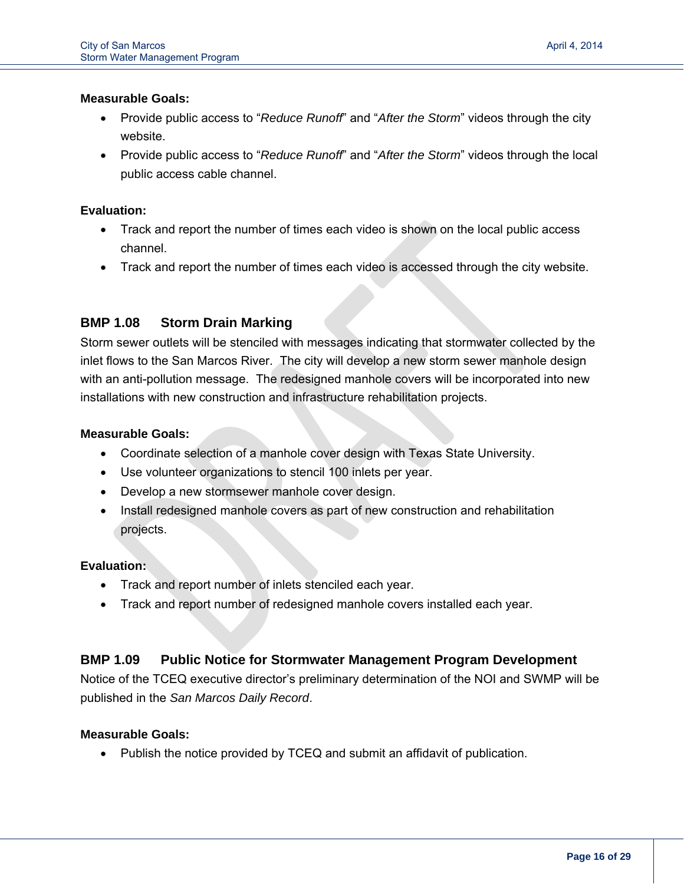i<br>I

- Provide public access to "*Reduce Runoff*" and "*After the Storm*" videos through the city website.
- Provide public access to "*Reduce Runoff*" and "*After the Storm*" videos through the local public access cable channel.

#### **Evaluation:**

- Track and report the number of times each video is shown on the local public access channel.
- Track and report the number of times each video is accessed through the city website.

#### **BMP 1.08 Storm Drain Marking**

Storm sewer outlets will be stenciled with messages indicating that stormwater collected by the inlet flows to the San Marcos River. The city will develop a new storm sewer manhole design with an anti-pollution message. The redesigned manhole covers will be incorporated into new installations with new construction and infrastructure rehabilitation projects.

#### **Measurable Goals:**

- Coordinate selection of a manhole cover design with Texas State University.
- Use volunteer organizations to stencil 100 inlets per year.
- Develop a new stormsewer manhole cover design.
- Install redesigned manhole covers as part of new construction and rehabilitation projects.

#### **Evaluation:**

- Track and report number of inlets stenciled each year.
- Track and report number of redesigned manhole covers installed each year.

#### **BMP 1.09 Public Notice for Stormwater Management Program Development**

Notice of the TCEQ executive director's preliminary determination of the NOI and SWMP will be published in the *San Marcos Daily Record*.

#### **Measurable Goals:**

• Publish the notice provided by TCEQ and submit an affidavit of publication.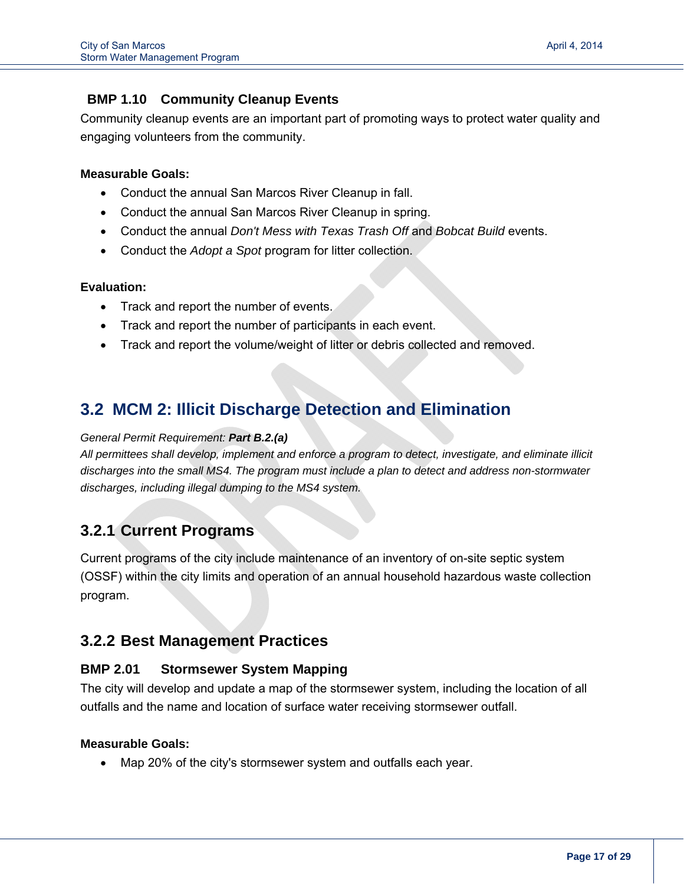#### **BMP 1.10 Community Cleanup Events**

Community cleanup events are an important part of promoting ways to protect water quality and engaging volunteers from the community.

#### **Measurable Goals:**

i<br>I

- Conduct the annual San Marcos River Cleanup in fall.
- Conduct the annual San Marcos River Cleanup in spring.
- Conduct the annual *Don't Mess with Texas Trash Off* and *Bobcat Build* events.
- Conduct the *Adopt a Spot* program for litter collection.

#### **Evaluation:**

- Track and report the number of events.
- Track and report the number of participants in each event.
- Track and report the volume/weight of litter or debris collected and removed.

## **3.2 MCM 2: Illicit Discharge Detection and Elimination**

#### *General Permit Requirement: Part B.2.(a)*

*All permittees shall develop, implement and enforce a program to detect, investigate, and eliminate illicit discharges into the small MS4. The program must include a plan to detect and address non-stormwater discharges, including illegal dumping to the MS4 system.* 

## **3.2.1 Current Programs**

Current programs of the city include maintenance of an inventory of on-site septic system (OSSF) within the city limits and operation of an annual household hazardous waste collection program.

## **3.2.2 Best Management Practices**

#### **BMP 2.01 Stormsewer System Mapping**

The city will develop and update a map of the stormsewer system, including the location of all outfalls and the name and location of surface water receiving stormsewer outfall.

#### **Measurable Goals:**

Map 20% of the city's stormsewer system and outfalls each year.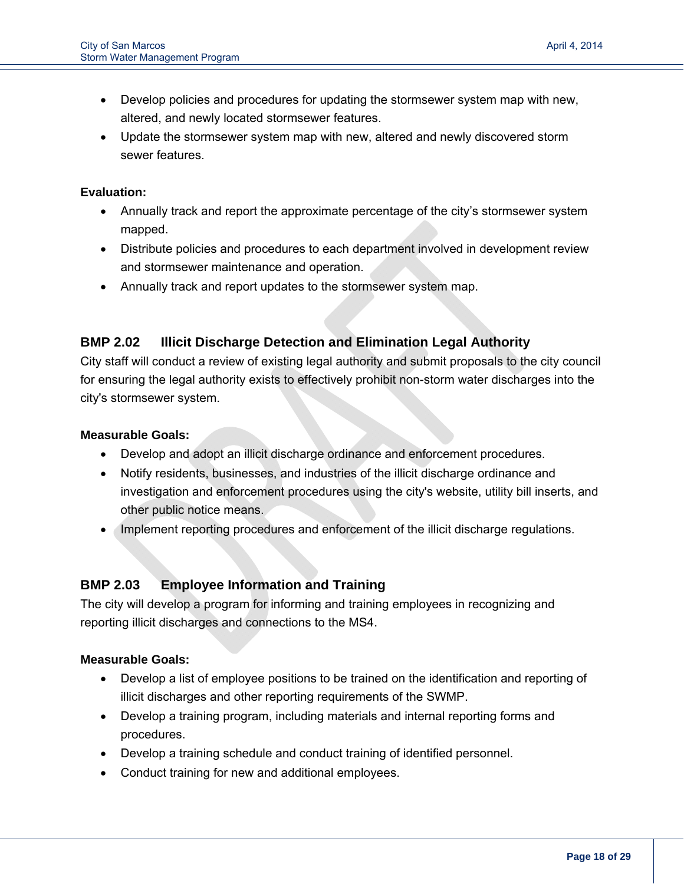- Develop policies and procedures for updating the stormsewer system map with new, altered, and newly located stormsewer features.
- Update the stormsewer system map with new, altered and newly discovered storm sewer features.

#### **Evaluation:**

i<br>I

- Annually track and report the approximate percentage of the city's stormsewer system mapped.
- Distribute policies and procedures to each department involved in development review and stormsewer maintenance and operation.
- Annually track and report updates to the stormsewer system map.

#### **BMP 2.02 Illicit Discharge Detection and Elimination Legal Authority**

City staff will conduct a review of existing legal authority and submit proposals to the city council for ensuring the legal authority exists to effectively prohibit non-storm water discharges into the city's stormsewer system.

#### **Measurable Goals:**

- Develop and adopt an illicit discharge ordinance and enforcement procedures.
- Notify residents, businesses, and industries of the illicit discharge ordinance and investigation and enforcement procedures using the city's website, utility bill inserts, and other public notice means.
- Implement reporting procedures and enforcement of the illicit discharge regulations.

### **BMP 2.03 Employee Information and Training**

The city will develop a program for informing and training employees in recognizing and reporting illicit discharges and connections to the MS4.

#### **Measurable Goals:**

- Develop a list of employee positions to be trained on the identification and reporting of illicit discharges and other reporting requirements of the SWMP.
- Develop a training program, including materials and internal reporting forms and procedures.
- Develop a training schedule and conduct training of identified personnel.
- Conduct training for new and additional employees.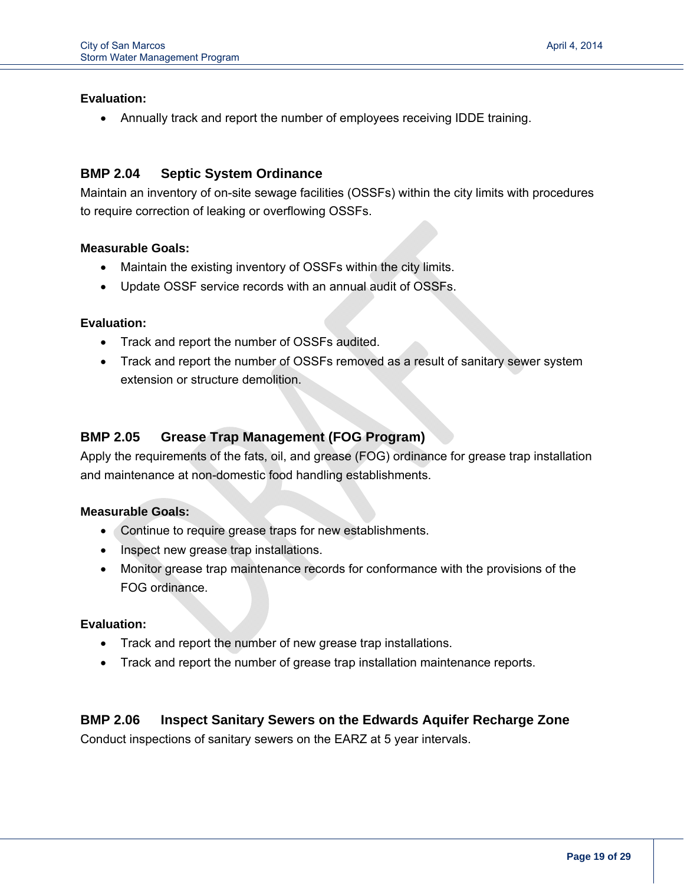#### **Evaluation:**

i<br>I

Annually track and report the number of employees receiving IDDE training.

#### **BMP 2.04 Septic System Ordinance**

Maintain an inventory of on-site sewage facilities (OSSFs) within the city limits with procedures to require correction of leaking or overflowing OSSFs.

#### **Measurable Goals:**

- Maintain the existing inventory of OSSFs within the city limits.
- Update OSSF service records with an annual audit of OSSFs.

#### **Evaluation:**

- Track and report the number of OSSFs audited.
- Track and report the number of OSSFs removed as a result of sanitary sewer system extension or structure demolition.

#### **BMP 2.05 Grease Trap Management (FOG Program)**

Apply the requirements of the fats, oil, and grease (FOG) ordinance for grease trap installation and maintenance at non-domestic food handling establishments.

#### **Measurable Goals:**

- Continue to require grease traps for new establishments.
- Inspect new grease trap installations.
- Monitor grease trap maintenance records for conformance with the provisions of the FOG ordinance.

#### **Evaluation:**

- Track and report the number of new grease trap installations.
- Track and report the number of grease trap installation maintenance reports.

#### **BMP 2.06 Inspect Sanitary Sewers on the Edwards Aquifer Recharge Zone**

Conduct inspections of sanitary sewers on the EARZ at 5 year intervals.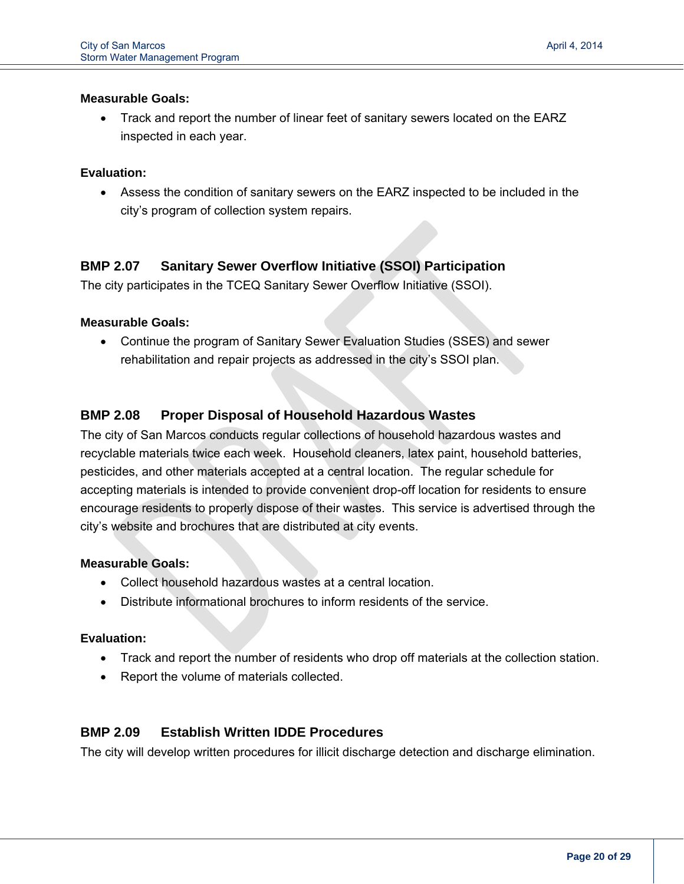Track and report the number of linear feet of sanitary sewers located on the EARZ inspected in each year.

#### **Evaluation:**

i<br>I

 Assess the condition of sanitary sewers on the EARZ inspected to be included in the city's program of collection system repairs.

#### **BMP 2.07 Sanitary Sewer Overflow Initiative (SSOI) Participation**

The city participates in the TCEQ Sanitary Sewer Overflow Initiative (SSOI).

#### **Measurable Goals:**

 Continue the program of Sanitary Sewer Evaluation Studies (SSES) and sewer rehabilitation and repair projects as addressed in the city's SSOI plan.

#### **BMP 2.08 Proper Disposal of Household Hazardous Wastes**

The city of San Marcos conducts regular collections of household hazardous wastes and recyclable materials twice each week. Household cleaners, latex paint, household batteries, pesticides, and other materials accepted at a central location. The regular schedule for accepting materials is intended to provide convenient drop-off location for residents to ensure encourage residents to properly dispose of their wastes. This service is advertised through the city's website and brochures that are distributed at city events.

#### **Measurable Goals:**

- Collect household hazardous wastes at a central location.
- Distribute informational brochures to inform residents of the service.

#### **Evaluation:**

- Track and report the number of residents who drop off materials at the collection station.
- Report the volume of materials collected.

#### **BMP 2.09 Establish Written IDDE Procedures**

The city will develop written procedures for illicit discharge detection and discharge elimination.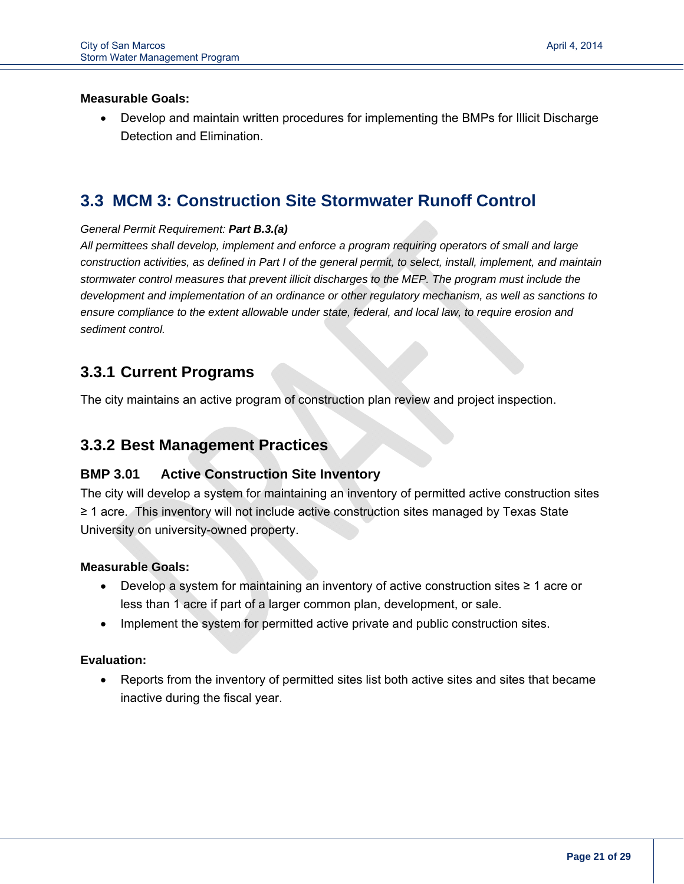i<br>I

 Develop and maintain written procedures for implementing the BMPs for Illicit Discharge Detection and Elimination.

## **3.3 MCM 3: Construction Site Stormwater Runoff Control**

#### *General Permit Requirement: Part B.3.(a)*

*All permittees shall develop, implement and enforce a program requiring operators of small and large construction activities, as defined in Part I of the general permit, to select, install, implement, and maintain stormwater control measures that prevent illicit discharges to the MEP. The program must include the development and implementation of an ordinance or other regulatory mechanism, as well as sanctions to ensure compliance to the extent allowable under state, federal, and local law, to require erosion and sediment control.*

## **3.3.1 Current Programs**

The city maintains an active program of construction plan review and project inspection.

## **3.3.2 Best Management Practices**

#### **BMP 3.01 Active Construction Site Inventory**

The city will develop a system for maintaining an inventory of permitted active construction sites ≥ 1 acre. This inventory will not include active construction sites managed by Texas State University on university-owned property.

#### **Measurable Goals:**

- Develop a system for maintaining an inventory of active construction sites ≥ 1 acre or less than 1 acre if part of a larger common plan, development, or sale.
- Implement the system for permitted active private and public construction sites.

#### **Evaluation:**

 Reports from the inventory of permitted sites list both active sites and sites that became inactive during the fiscal year.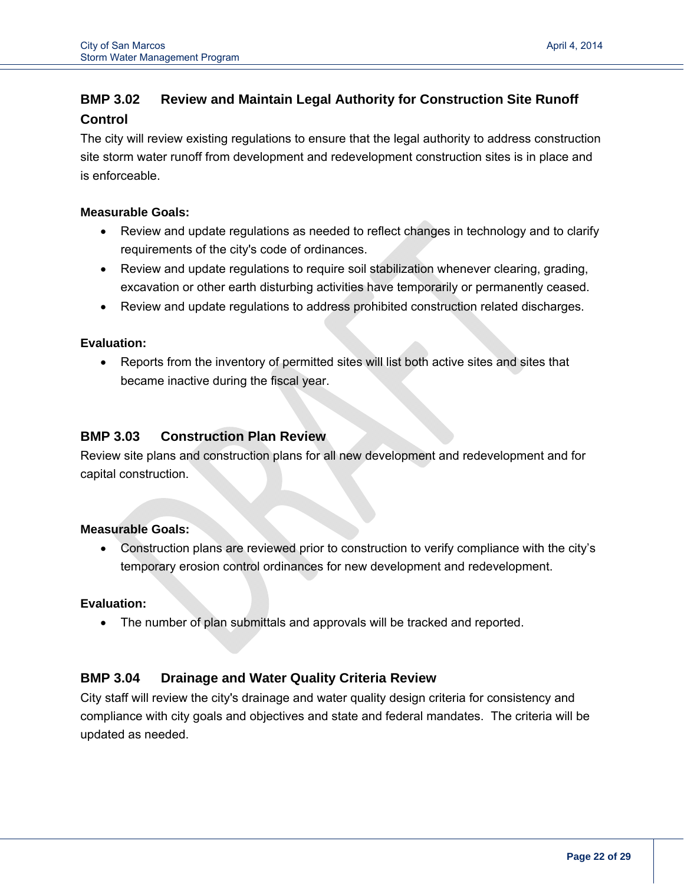## **BMP 3.02 Review and Maintain Legal Authority for Construction Site Runoff Control**

The city will review existing regulations to ensure that the legal authority to address construction site storm water runoff from development and redevelopment construction sites is in place and is enforceable.

#### **Measurable Goals:**

i<br>I

- Review and update regulations as needed to reflect changes in technology and to clarify requirements of the city's code of ordinances.
- Review and update regulations to require soil stabilization whenever clearing, grading, excavation or other earth disturbing activities have temporarily or permanently ceased.
- Review and update regulations to address prohibited construction related discharges.

#### **Evaluation:**

 Reports from the inventory of permitted sites will list both active sites and sites that became inactive during the fiscal year.

#### **BMP 3.03 Construction Plan Review**

Review site plans and construction plans for all new development and redevelopment and for capital construction.

#### **Measurable Goals:**

 Construction plans are reviewed prior to construction to verify compliance with the city's temporary erosion control ordinances for new development and redevelopment.

#### **Evaluation:**

The number of plan submittals and approvals will be tracked and reported.

#### **BMP 3.04 Drainage and Water Quality Criteria Review**

City staff will review the city's drainage and water quality design criteria for consistency and compliance with city goals and objectives and state and federal mandates. The criteria will be updated as needed.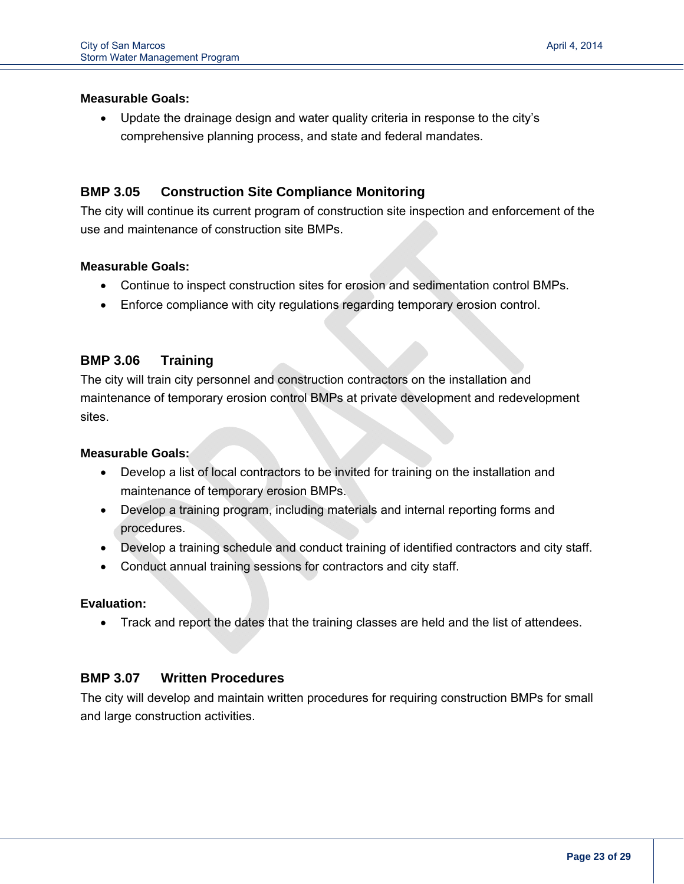i<br>I

 Update the drainage design and water quality criteria in response to the city's comprehensive planning process, and state and federal mandates.

#### **BMP 3.05 Construction Site Compliance Monitoring**

The city will continue its current program of construction site inspection and enforcement of the use and maintenance of construction site BMPs.

#### **Measurable Goals:**

- Continue to inspect construction sites for erosion and sedimentation control BMPs.
- Enforce compliance with city regulations regarding temporary erosion control.

#### **BMP 3.06 Training**

The city will train city personnel and construction contractors on the installation and maintenance of temporary erosion control BMPs at private development and redevelopment sites.

#### **Measurable Goals:**

- Develop a list of local contractors to be invited for training on the installation and maintenance of temporary erosion BMPs.
- Develop a training program, including materials and internal reporting forms and procedures.
- Develop a training schedule and conduct training of identified contractors and city staff.
- Conduct annual training sessions for contractors and city staff.

#### **Evaluation:**

Track and report the dates that the training classes are held and the list of attendees.

#### **BMP 3.07 Written Procedures**

The city will develop and maintain written procedures for requiring construction BMPs for small and large construction activities.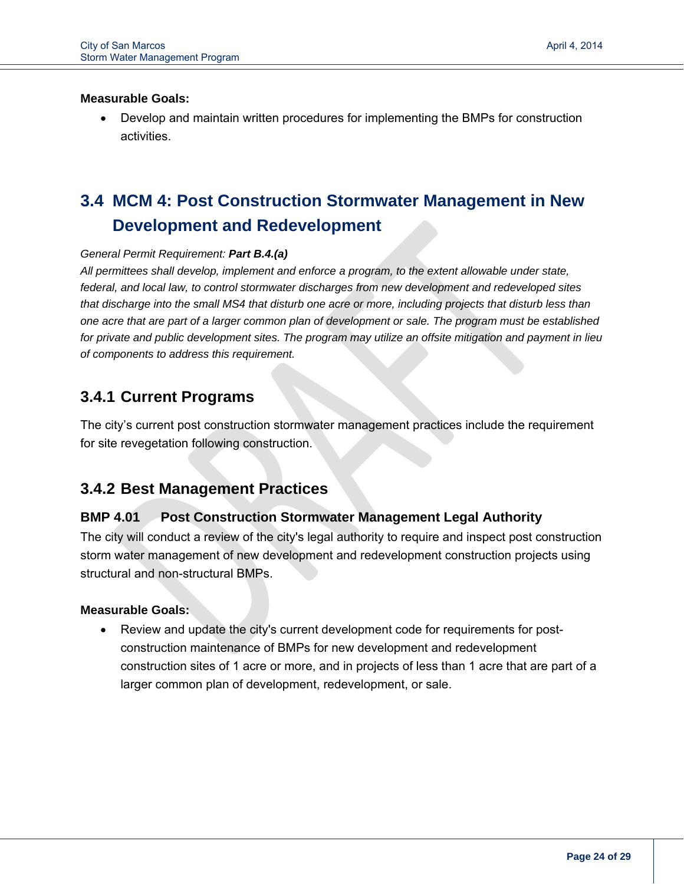i<br>I

 Develop and maintain written procedures for implementing the BMPs for construction activities.

## **3.4 MCM 4: Post Construction Stormwater Management in New Development and Redevelopment**

#### *General Permit Requirement: Part B.4.(a)*

*All permittees shall develop, implement and enforce a program, to the extent allowable under state, federal, and local law, to control stormwater discharges from new development and redeveloped sites that discharge into the small MS4 that disturb one acre or more, including projects that disturb less than one acre that are part of a larger common plan of development or sale. The program must be established for private and public development sites. The program may utilize an offsite mitigation and payment in lieu of components to address this requirement.*

## **3.4.1 Current Programs**

The city's current post construction stormwater management practices include the requirement for site revegetation following construction.

## **3.4.2 Best Management Practices**

#### **BMP 4.01 Post Construction Stormwater Management Legal Authority**

The city will conduct a review of the city's legal authority to require and inspect post construction storm water management of new development and redevelopment construction projects using structural and non-structural BMPs.

#### **Measurable Goals:**

 Review and update the city's current development code for requirements for postconstruction maintenance of BMPs for new development and redevelopment construction sites of 1 acre or more, and in projects of less than 1 acre that are part of a larger common plan of development, redevelopment, or sale.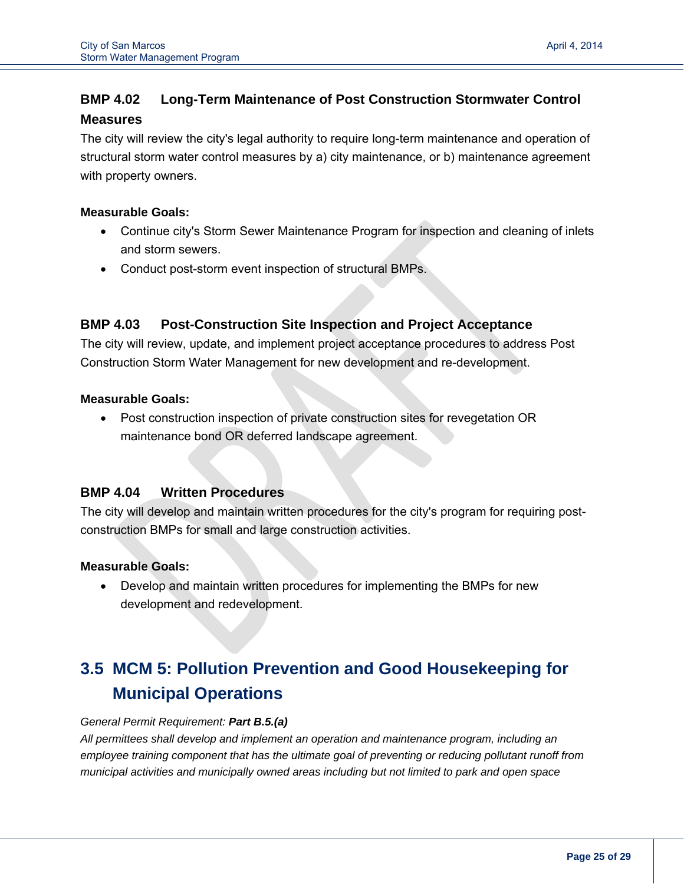## **BMP 4.02 Long-Term Maintenance of Post Construction Stormwater Control Measures**

The city will review the city's legal authority to require long-term maintenance and operation of structural storm water control measures by a) city maintenance, or b) maintenance agreement with property owners.

#### **Measurable Goals:**

i<br>I

- Continue city's Storm Sewer Maintenance Program for inspection and cleaning of inlets and storm sewers.
- Conduct post-storm event inspection of structural BMPs.

#### **BMP 4.03 Post-Construction Site Inspection and Project Acceptance**

The city will review, update, and implement project acceptance procedures to address Post Construction Storm Water Management for new development and re-development.

#### **Measurable Goals:**

 Post construction inspection of private construction sites for revegetation OR maintenance bond OR deferred landscape agreement.

#### **BMP 4.04 Written Procedures**

The city will develop and maintain written procedures for the city's program for requiring postconstruction BMPs for small and large construction activities.

#### **Measurable Goals:**

 Develop and maintain written procedures for implementing the BMPs for new development and redevelopment.

## **3.5 MCM 5: Pollution Prevention and Good Housekeeping for Municipal Operations**

#### *General Permit Requirement: Part B.5.(a)*

*All permittees shall develop and implement an operation and maintenance program, including an employee training component that has the ultimate goal of preventing or reducing pollutant runoff from municipal activities and municipally owned areas including but not limited to park and open space*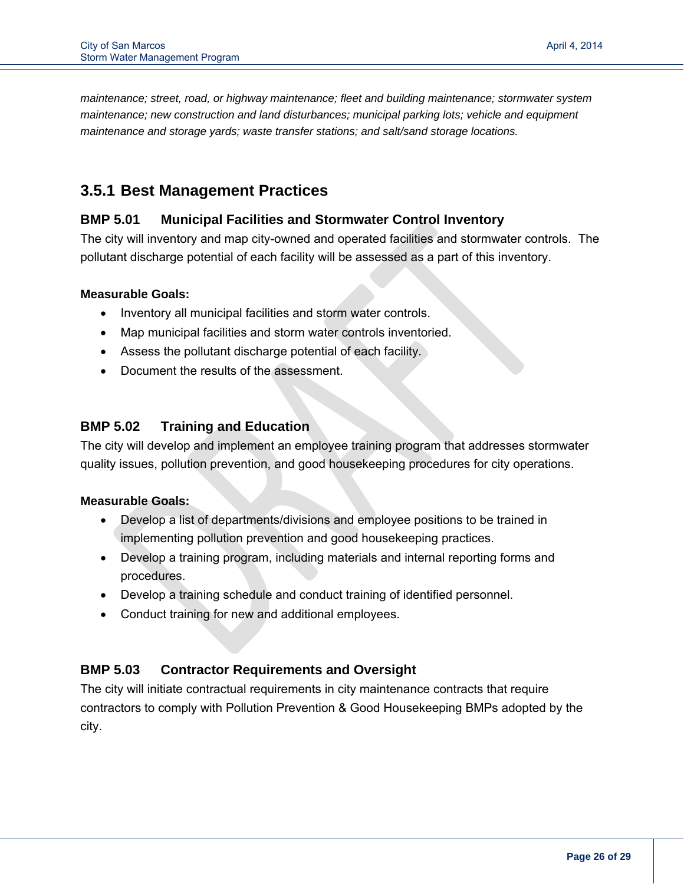*maintenance; street, road, or highway maintenance; fleet and building maintenance; stormwater system maintenance; new construction and land disturbances; municipal parking lots; vehicle and equipment maintenance and storage yards; waste transfer stations; and salt/sand storage locations.*

## **3.5.1 Best Management Practices**

#### **BMP 5.01 Municipal Facilities and Stormwater Control Inventory**

The city will inventory and map city-owned and operated facilities and stormwater controls. The pollutant discharge potential of each facility will be assessed as a part of this inventory.

#### **Measurable Goals:**

- Inventory all municipal facilities and storm water controls.
- Map municipal facilities and storm water controls inventoried.
- Assess the pollutant discharge potential of each facility.
- Document the results of the assessment.

#### **BMP 5.02 Training and Education**

The city will develop and implement an employee training program that addresses stormwater quality issues, pollution prevention, and good housekeeping procedures for city operations.

#### **Measurable Goals:**

- Develop a list of departments/divisions and employee positions to be trained in implementing pollution prevention and good housekeeping practices.
- Develop a training program, including materials and internal reporting forms and procedures.
- Develop a training schedule and conduct training of identified personnel.
- Conduct training for new and additional employees.

#### **BMP 5.03 Contractor Requirements and Oversight**

The city will initiate contractual requirements in city maintenance contracts that require contractors to comply with Pollution Prevention & Good Housekeeping BMPs adopted by the city.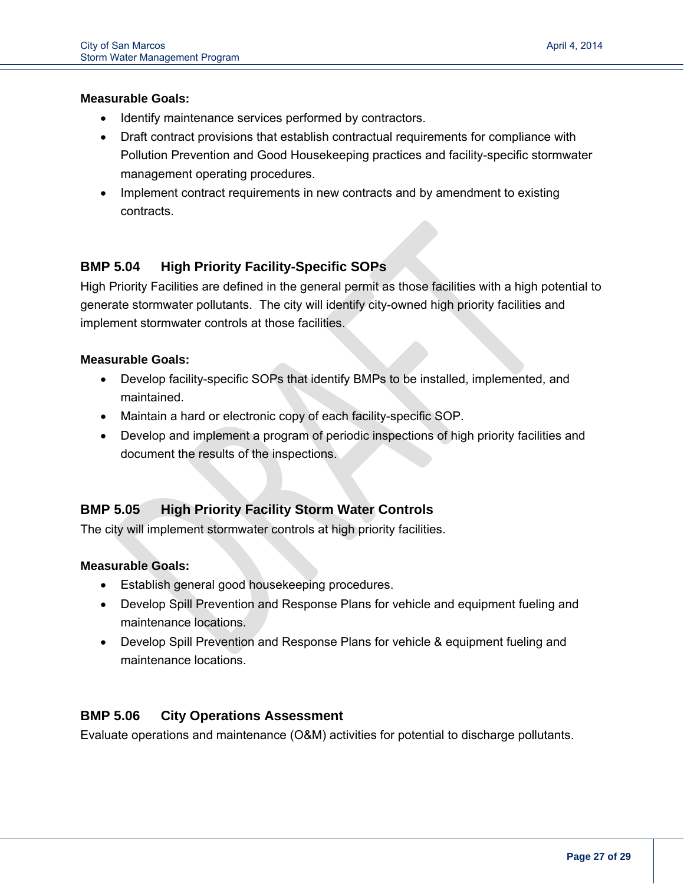i<br>I

- Identify maintenance services performed by contractors.
- Draft contract provisions that establish contractual requirements for compliance with Pollution Prevention and Good Housekeeping practices and facility-specific stormwater management operating procedures.
- Implement contract requirements in new contracts and by amendment to existing contracts.

## **BMP 5.04 High Priority Facility-Specific SOPs**

High Priority Facilities are defined in the general permit as those facilities with a high potential to generate stormwater pollutants. The city will identify city-owned high priority facilities and implement stormwater controls at those facilities.

#### **Measurable Goals:**

- Develop facility-specific SOPs that identify BMPs to be installed, implemented, and maintained.
- Maintain a hard or electronic copy of each facility-specific SOP.
- Develop and implement a program of periodic inspections of high priority facilities and document the results of the inspections.

### **BMP 5.05 High Priority Facility Storm Water Controls**

The city will implement stormwater controls at high priority facilities.

#### **Measurable Goals:**

- Establish general good housekeeping procedures.
- Develop Spill Prevention and Response Plans for vehicle and equipment fueling and maintenance locations.
- Develop Spill Prevention and Response Plans for vehicle & equipment fueling and maintenance locations.

#### **BMP 5.06 City Operations Assessment**

Evaluate operations and maintenance (O&M) activities for potential to discharge pollutants.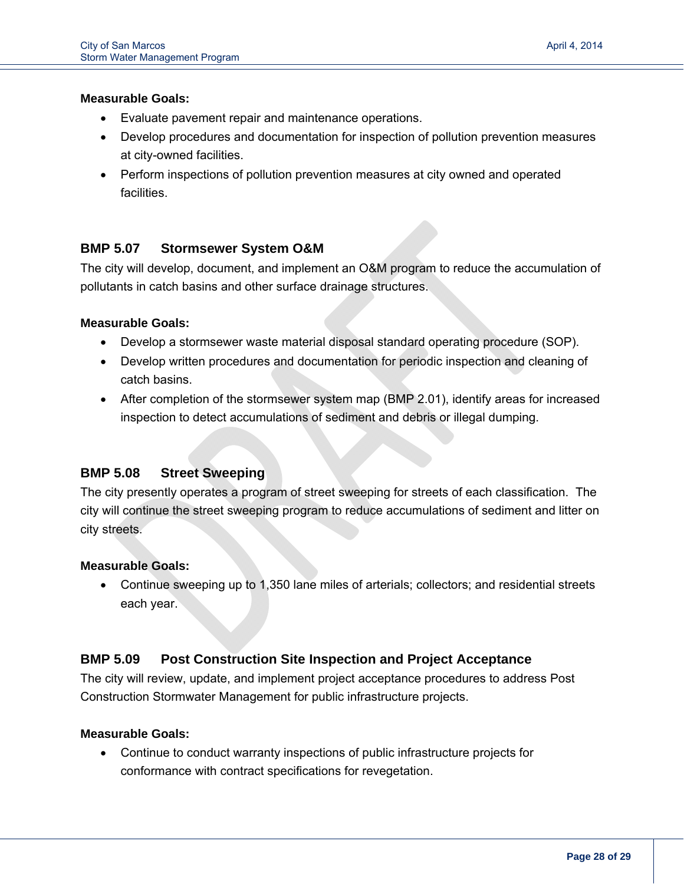i<br>I

- Evaluate pavement repair and maintenance operations.
- Develop procedures and documentation for inspection of pollution prevention measures at city-owned facilities.
- Perform inspections of pollution prevention measures at city owned and operated facilities.

#### **BMP 5.07 Stormsewer System O&M**

The city will develop, document, and implement an O&M program to reduce the accumulation of pollutants in catch basins and other surface drainage structures.

#### **Measurable Goals:**

- Develop a stormsewer waste material disposal standard operating procedure (SOP).
- Develop written procedures and documentation for periodic inspection and cleaning of catch basins.
- After completion of the stormsewer system map (BMP 2.01), identify areas for increased inspection to detect accumulations of sediment and debris or illegal dumping.

#### **BMP 5.08 Street Sweeping**

The city presently operates a program of street sweeping for streets of each classification. The city will continue the street sweeping program to reduce accumulations of sediment and litter on city streets.

#### **Measurable Goals:**

 Continue sweeping up to 1,350 lane miles of arterials; collectors; and residential streets each year.

#### **BMP 5.09 Post Construction Site Inspection and Project Acceptance**

The city will review, update, and implement project acceptance procedures to address Post Construction Stormwater Management for public infrastructure projects.

#### **Measurable Goals:**

 Continue to conduct warranty inspections of public infrastructure projects for conformance with contract specifications for revegetation.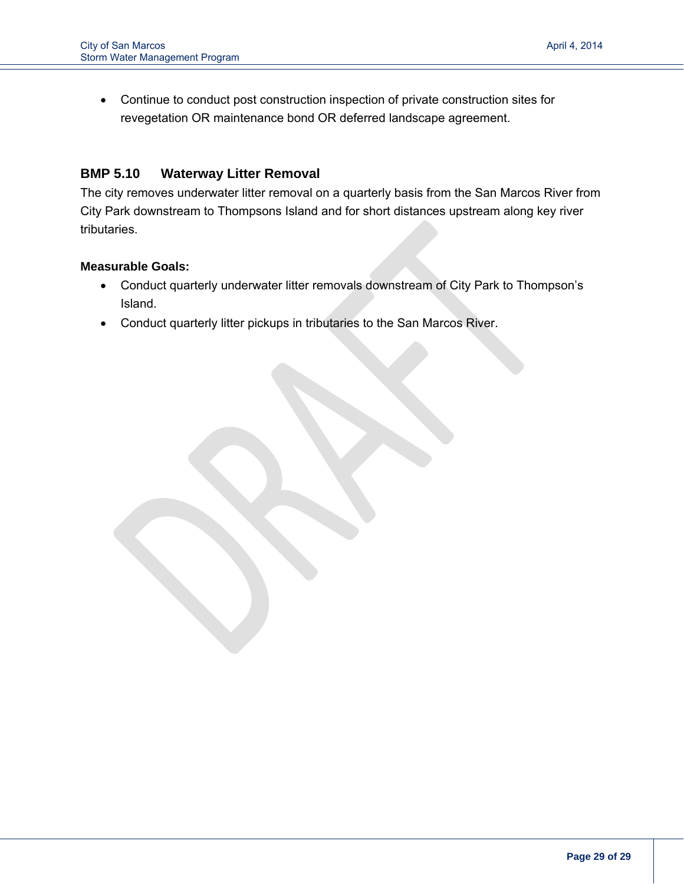Continue to conduct post construction inspection of private construction sites for revegetation OR maintenance bond OR deferred landscape agreement.

#### **BMP 5.10 Waterway Litter Removal**

The city removes underwater litter removal on a quarterly basis from the San Marcos River from City Park downstream to Thompsons Island and for short distances upstream along key river tributaries.

#### **Measurable Goals:**

- Conduct quarterly underwater litter removals downstream of City Park to Thompson's Island.
- Conduct quarterly litter pickups in tributaries to the San Marcos River.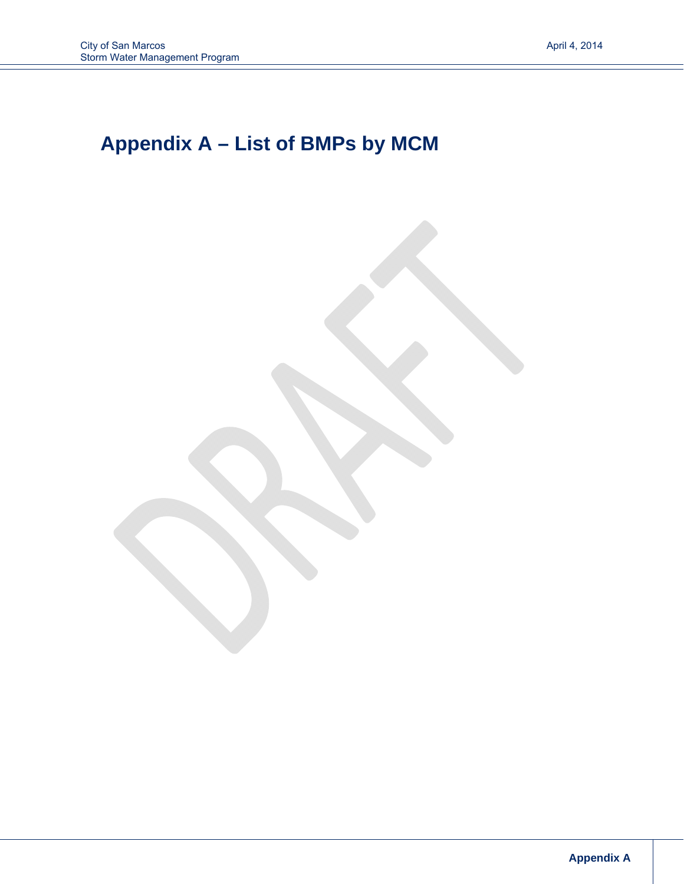## **Appendix A – List of BMPs by MCM**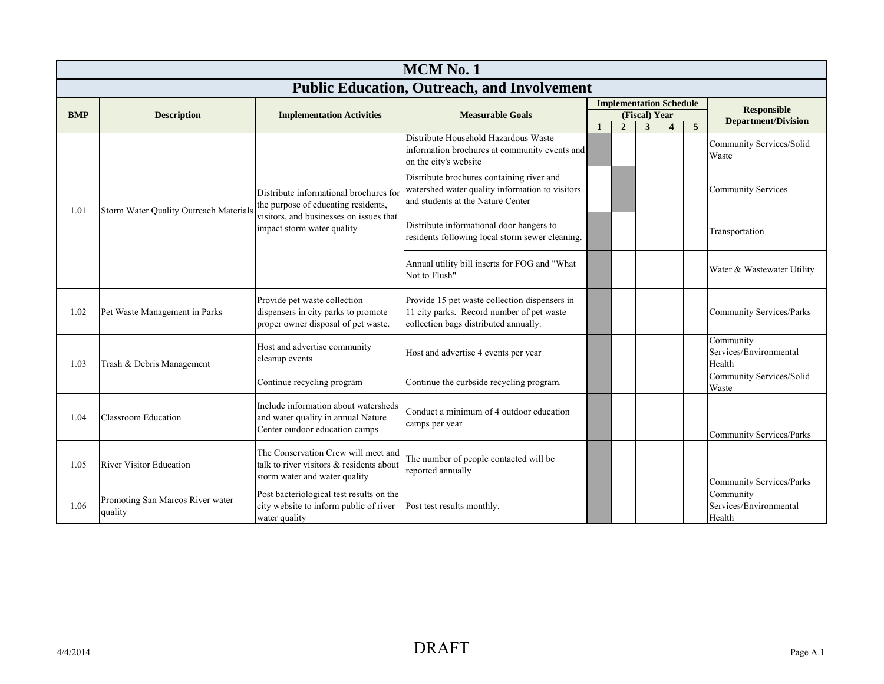|            | <b>MCM No. 1</b>                            |                                                                                                                  |                                                                                                                                     |  |                                |                    |                  |                |                                               |  |  |  |
|------------|---------------------------------------------|------------------------------------------------------------------------------------------------------------------|-------------------------------------------------------------------------------------------------------------------------------------|--|--------------------------------|--------------------|------------------|----------------|-----------------------------------------------|--|--|--|
|            |                                             |                                                                                                                  | <b>Public Education, Outreach, and Involvement</b>                                                                                  |  |                                |                    |                  |                |                                               |  |  |  |
|            |                                             |                                                                                                                  |                                                                                                                                     |  | <b>Implementation Schedule</b> |                    |                  |                | <b>Responsible</b>                            |  |  |  |
| <b>BMP</b> | <b>Description</b>                          | <b>Implementation Activities</b>                                                                                 | <b>Measurable Goals</b>                                                                                                             |  | $\overline{2}$                 | (Fiscal) Year<br>3 | $\boldsymbol{4}$ | 5 <sup>5</sup> | <b>Department/Division</b>                    |  |  |  |
|            |                                             |                                                                                                                  | Distribute Household Hazardous Waste<br>information brochures at community events and<br>on the city's website                      |  |                                |                    |                  |                | Community Services/Solid<br>Waste             |  |  |  |
| 1.01       | Storm Water Quality Outreach Materials      | Distribute informational brochures for<br>the purpose of educating residents,                                    | Distribute brochures containing river and<br>watershed water quality information to visitors<br>and students at the Nature Center   |  |                                |                    |                  |                | <b>Community Services</b>                     |  |  |  |
|            |                                             | visitors, and businesses on issues that<br>impact storm water quality                                            | Distribute informational door hangers to<br>residents following local storm sewer cleaning.                                         |  |                                |                    |                  |                | Transportation                                |  |  |  |
|            |                                             |                                                                                                                  | Annual utility bill inserts for FOG and "What<br>Not to Flush"                                                                      |  |                                |                    |                  |                | Water & Wastewater Utility                    |  |  |  |
| 1.02       | Pet Waste Management in Parks               | Provide pet waste collection<br>dispensers in city parks to promote<br>proper owner disposal of pet waste.       | Provide 15 pet waste collection dispensers in<br>11 city parks. Record number of pet waste<br>collection bags distributed annually. |  |                                |                    |                  |                | <b>Community Services/Parks</b>               |  |  |  |
| 1.03       | Trash & Debris Management                   | Host and advertise community<br>cleanup events                                                                   | Host and advertise 4 events per year                                                                                                |  |                                |                    |                  |                | Community<br>Services/Environmental<br>Health |  |  |  |
|            |                                             | Continue recycling program                                                                                       | Continue the curbside recycling program.                                                                                            |  |                                |                    |                  |                | <b>Community Services/Solid</b><br>Waste      |  |  |  |
| 1.04       | <b>Classroom Education</b>                  | Include information about watersheds<br>and water quality in annual Nature<br>Center outdoor education camps     | Conduct a minimum of 4 outdoor education<br>camps per year                                                                          |  |                                |                    |                  |                | <b>Community Services/Parks</b>               |  |  |  |
| 1.05       | <b>River Visitor Education</b>              | The Conservation Crew will meet and<br>talk to river visitors & residents about<br>storm water and water quality | The number of people contacted will be<br>reported annually                                                                         |  |                                |                    |                  |                | <b>Community Services/Parks</b>               |  |  |  |
| 1.06       | Promoting San Marcos River water<br>quality | Post bacteriological test results on the<br>city website to inform public of river<br>water quality              | Post test results monthly.                                                                                                          |  |                                |                    |                  |                | Community<br>Services/Environmental<br>Health |  |  |  |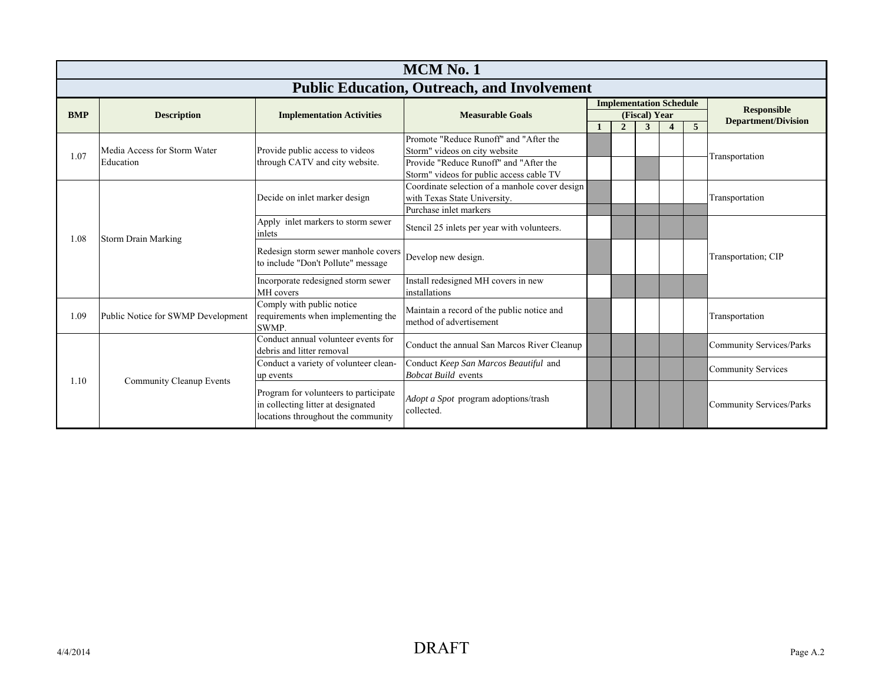|            | <b>MCM No. 1</b>                                   |                                                                                                                   |                                                                                                                                                               |  |                                |               |  |   |                                                  |  |  |  |
|------------|----------------------------------------------------|-------------------------------------------------------------------------------------------------------------------|---------------------------------------------------------------------------------------------------------------------------------------------------------------|--|--------------------------------|---------------|--|---|--------------------------------------------------|--|--|--|
|            | <b>Public Education, Outreach, and Involvement</b> |                                                                                                                   |                                                                                                                                                               |  |                                |               |  |   |                                                  |  |  |  |
| <b>BMP</b> | <b>Description</b>                                 | <b>Implementation Activities</b>                                                                                  | <b>Measurable Goals</b>                                                                                                                                       |  | <b>Implementation Schedule</b> | (Fiscal) Year |  |   | <b>Responsible</b><br><b>Department/Division</b> |  |  |  |
|            |                                                    |                                                                                                                   |                                                                                                                                                               |  | $\overline{2}$                 | 3             |  | 5 |                                                  |  |  |  |
| 1.07       | Media Access for Storm Water<br>Education          | Provide public access to videos<br>through CATV and city website.                                                 | Promote "Reduce Runoff" and "After the<br>Storm" videos on city website<br>Provide "Reduce Runoff" and "After the<br>Storm" videos for public access cable TV |  |                                |               |  |   | Transportation                                   |  |  |  |
|            |                                                    | Decide on inlet marker design                                                                                     | Coordinate selection of a manhole cover design<br>with Texas State University.<br>Purchase inlet markers                                                      |  |                                |               |  |   | Transportation                                   |  |  |  |
| 1.08       | Storm Drain Marking                                | Apply inlet markers to storm sewer<br>inlets                                                                      | Stencil 25 inlets per year with volunteers.                                                                                                                   |  |                                |               |  |   |                                                  |  |  |  |
|            |                                                    | Redesign storm sewer manhole covers<br>to include "Don't Pollute" message                                         | Develop new design.                                                                                                                                           |  |                                |               |  |   | Transportation; CIP                              |  |  |  |
|            |                                                    | Incorporate redesigned storm sewer<br>MH covers                                                                   | Install redesigned MH covers in new<br>installations                                                                                                          |  |                                |               |  |   |                                                  |  |  |  |
| 1.09       | Public Notice for SWMP Development                 | Comply with public notice<br>requirements when implementing the<br><b>SWMP</b>                                    | Maintain a record of the public notice and<br>method of advertisement                                                                                         |  |                                |               |  |   | Transportation                                   |  |  |  |
|            |                                                    | Conduct annual volunteer events for<br>debris and litter removal                                                  | Conduct the annual San Marcos River Cleanup                                                                                                                   |  |                                |               |  |   | <b>Community Services/Parks</b>                  |  |  |  |
| 1.10       |                                                    | Conduct a variety of volunteer clean-<br>up events                                                                | Conduct Keep San Marcos Beautiful and<br><b>Bobcat Build events</b>                                                                                           |  |                                |               |  |   | <b>Community Services</b>                        |  |  |  |
|            | <b>Community Cleanup Events</b>                    | Program for volunteers to participate<br>in collecting litter at designated<br>locations throughout the community | Adopt a Spot program adoptions/trash<br>collected.                                                                                                            |  |                                |               |  |   | <b>Community Services/Parks</b>                  |  |  |  |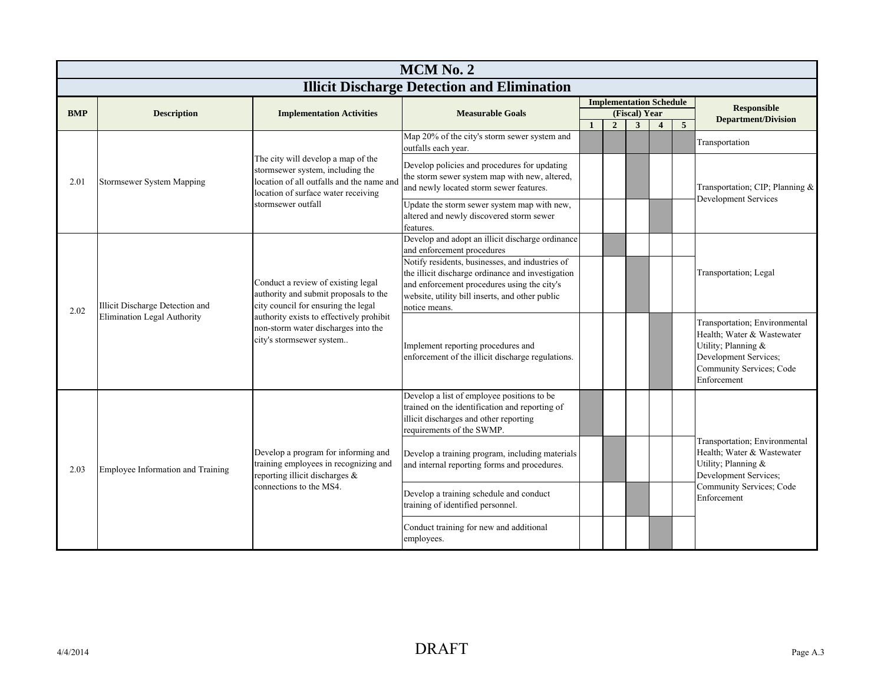|            | MCM No. 2                         |                                                                                                                                                            |                                                                                                                                                                                                                         |              |                |                                                 |                         |   |                                                                                                                                                        |  |  |  |
|------------|-----------------------------------|------------------------------------------------------------------------------------------------------------------------------------------------------------|-------------------------------------------------------------------------------------------------------------------------------------------------------------------------------------------------------------------------|--------------|----------------|-------------------------------------------------|-------------------------|---|--------------------------------------------------------------------------------------------------------------------------------------------------------|--|--|--|
|            |                                   |                                                                                                                                                            | <b>Illicit Discharge Detection and Elimination</b>                                                                                                                                                                      |              |                |                                                 |                         |   |                                                                                                                                                        |  |  |  |
| <b>BMP</b> | <b>Description</b>                | <b>Implementation Activities</b>                                                                                                                           | <b>Measurable Goals</b>                                                                                                                                                                                                 |              |                | <b>Implementation Schedule</b><br>(Fiscal) Year |                         |   | <b>Responsible</b>                                                                                                                                     |  |  |  |
|            |                                   |                                                                                                                                                            |                                                                                                                                                                                                                         | $\mathbf{1}$ | $\overline{2}$ | $\overline{\mathbf{3}}$                         | $\overline{\mathbf{4}}$ | 5 | <b>Department/Division</b>                                                                                                                             |  |  |  |
|            |                                   |                                                                                                                                                            | Map 20% of the city's storm sewer system and<br>outfalls each year.                                                                                                                                                     |              |                |                                                 |                         |   | Transportation                                                                                                                                         |  |  |  |
| 2.01       | Stormsewer System Mapping         | The city will develop a map of the<br>stormsewer system, including the<br>location of all outfalls and the name and<br>location of surface water receiving | Develop policies and procedures for updating<br>the storm sewer system map with new, altered,<br>and newly located storm sewer features.                                                                                |              |                |                                                 |                         |   | Transportation; CIP; Planning &                                                                                                                        |  |  |  |
|            |                                   | stormsewer outfall                                                                                                                                         | Update the storm sewer system map with new,<br>altered and newly discovered storm sewer<br>features.                                                                                                                    |              |                |                                                 |                         |   | Development Services                                                                                                                                   |  |  |  |
|            |                                   |                                                                                                                                                            | Develop and adopt an illicit discharge ordinance<br>and enforcement procedures                                                                                                                                          |              |                |                                                 |                         |   |                                                                                                                                                        |  |  |  |
| 2.02       | Illicit Discharge Detection and   | Conduct a review of existing legal<br>authority and submit proposals to the<br>city council for ensuring the legal                                         | Notify residents, businesses, and industries of<br>the illicit discharge ordinance and investigation<br>and enforcement procedures using the city's<br>website, utility bill inserts, and other public<br>notice means. |              |                |                                                 |                         |   | Transportation; Legal                                                                                                                                  |  |  |  |
|            | Elimination Legal Authority       | authority exists to effectively prohibit<br>non-storm water discharges into the<br>city's stormsewer system                                                | Implement reporting procedures and<br>enforcement of the illicit discharge regulations.                                                                                                                                 |              |                |                                                 |                         |   | Transportation; Environmental<br>Health; Water & Wastewater<br>Utility; Planning &<br>Development Services;<br>Community Services; Code<br>Enforcement |  |  |  |
|            |                                   |                                                                                                                                                            | Develop a list of employee positions to be<br>trained on the identification and reporting of<br>illicit discharges and other reporting<br>requirements of the SWMP.                                                     |              |                |                                                 |                         |   |                                                                                                                                                        |  |  |  |
| 2.03       | Employee Information and Training | Develop a program for informing and<br>training employees in recognizing and<br>reporting illicit discharges &                                             | Develop a training program, including materials<br>and internal reporting forms and procedures.                                                                                                                         |              |                |                                                 |                         |   | Transportation; Environmental<br>Health; Water & Wastewater<br>Utility; Planning &<br>Development Services;<br>Community Services; Code<br>Enforcement |  |  |  |
|            |                                   | connections to the MS4.                                                                                                                                    | Develop a training schedule and conduct<br>training of identified personnel.                                                                                                                                            |              |                |                                                 |                         |   |                                                                                                                                                        |  |  |  |
|            |                                   |                                                                                                                                                            | Conduct training for new and additional<br>employees.                                                                                                                                                                   |              |                |                                                 |                         |   |                                                                                                                                                        |  |  |  |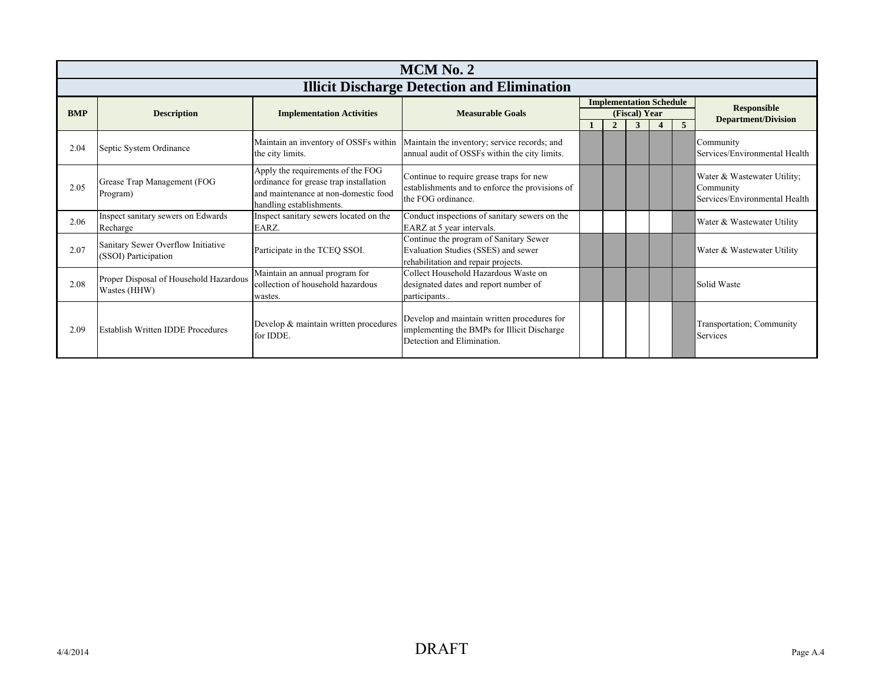|            | MCM No. 2                                                  |                                                                                                                                                 |                                                                                                                          |  |                |                                                 |  |                |                                                                           |  |  |  |
|------------|------------------------------------------------------------|-------------------------------------------------------------------------------------------------------------------------------------------------|--------------------------------------------------------------------------------------------------------------------------|--|----------------|-------------------------------------------------|--|----------------|---------------------------------------------------------------------------|--|--|--|
|            | <b>Illicit Discharge Detection and Elimination</b>         |                                                                                                                                                 |                                                                                                                          |  |                |                                                 |  |                |                                                                           |  |  |  |
| <b>BMP</b> | <b>Description</b>                                         | <b>Implementation Activities</b>                                                                                                                | <b>Measurable Goals</b>                                                                                                  |  |                | <b>Implementation Schedule</b><br>(Fiscal) Year |  |                | <b>Responsible</b>                                                        |  |  |  |
|            |                                                            |                                                                                                                                                 |                                                                                                                          |  | $\overline{2}$ | 3                                               |  | $\overline{5}$ | <b>Department/Division</b>                                                |  |  |  |
| 2.04       | Septic System Ordinance                                    | Maintain an inventory of OSSFs within<br>the city limits.                                                                                       | Maintain the inventory; service records; and<br>annual audit of OSSFs within the city limits.                            |  |                |                                                 |  |                | Community<br>Services/Environmental Health                                |  |  |  |
| 2.05       | Grease Trap Management (FOG<br>Program)                    | Apply the requirements of the FOG<br>ordinance for grease trap installation<br>and maintenance at non-domestic food<br>handling establishments. | Continue to require grease traps for new<br>establishments and to enforce the provisions of<br>the FOG ordinance.        |  |                |                                                 |  |                | Water & Wastewater Utility;<br>Community<br>Services/Environmental Health |  |  |  |
| 2.06       | Inspect sanitary sewers on Edwards<br>Recharge             | Inspect sanitary sewers located on the<br>EARZ.                                                                                                 | Conduct inspections of sanitary sewers on the<br>EARZ at 5 year intervals.                                               |  |                |                                                 |  |                | Water & Wastewater Utility                                                |  |  |  |
| 2.07       | Sanitary Sewer Overflow Initiative<br>(SSOI) Participation | Participate in the TCEQ SSOI.                                                                                                                   | Continue the program of Sanitary Sewer<br>Evaluation Studies (SSES) and sewer<br>rehabilitation and repair projects.     |  |                |                                                 |  |                | Water & Wastewater Utility                                                |  |  |  |
| 2.08       | Proper Disposal of Household Hazardous<br>Wastes (HHW)     | Maintain an annual program for<br>collection of household hazardous<br>wastes.                                                                  | Collect Household Hazardous Waste on<br>designated dates and report number of<br>participants                            |  |                |                                                 |  |                | Solid Waste                                                               |  |  |  |
| 2.09       | <b>Establish Written IDDE Procedures</b>                   | Develop & maintain written procedures<br>for IDDE.                                                                                              | Develop and maintain written procedures for<br>implementing the BMPs for Illicit Discharge<br>Detection and Elimination. |  |                |                                                 |  |                | Transportation; Community<br>Services                                     |  |  |  |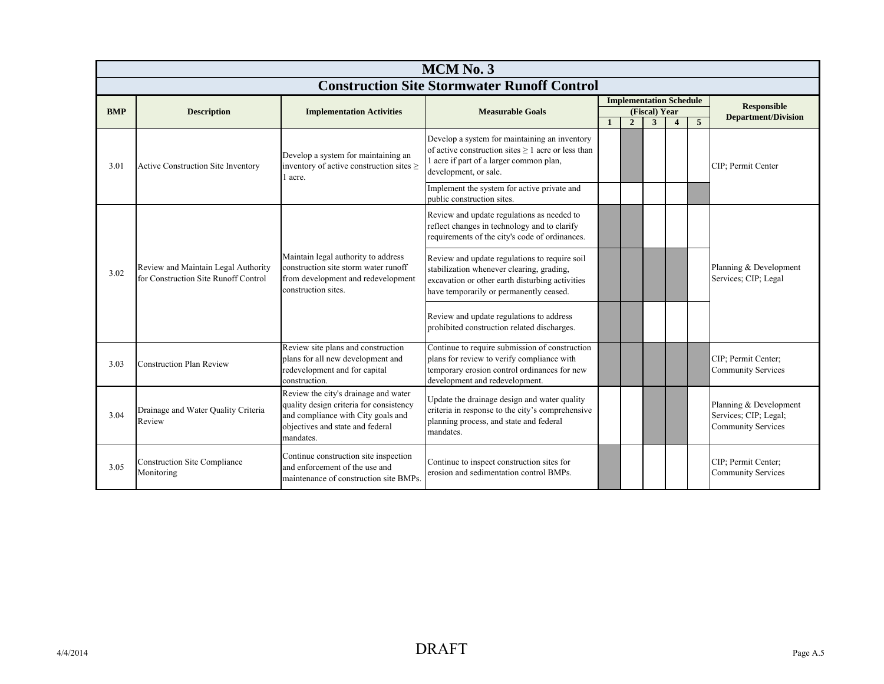|            | MCM No. 3                                                                   |                                                                                                                                                                        |                                                                                                                                                                                          |              |                                |                    |                |                |                                                                              |  |  |  |
|------------|-----------------------------------------------------------------------------|------------------------------------------------------------------------------------------------------------------------------------------------------------------------|------------------------------------------------------------------------------------------------------------------------------------------------------------------------------------------|--------------|--------------------------------|--------------------|----------------|----------------|------------------------------------------------------------------------------|--|--|--|
|            | <b>Construction Site Stormwater Runoff Control</b>                          |                                                                                                                                                                        |                                                                                                                                                                                          |              |                                |                    |                |                |                                                                              |  |  |  |
|            |                                                                             |                                                                                                                                                                        |                                                                                                                                                                                          |              | <b>Implementation Schedule</b> |                    |                |                | <b>Responsible</b>                                                           |  |  |  |
| <b>BMP</b> | <b>Description</b>                                                          | <b>Implementation Activities</b>                                                                                                                                       | <b>Measurable Goals</b>                                                                                                                                                                  | $\mathbf{1}$ | $\overline{2}$                 | (Fiscal) Year<br>3 | $\overline{4}$ | $\overline{5}$ | <b>Department/Division</b>                                                   |  |  |  |
| 3.01       | <b>Active Construction Site Inventory</b>                                   | Develop a system for maintaining an<br>inventory of active construction sites $\geq$<br>1 acre.                                                                        | Develop a system for maintaining an inventory<br>of active construction sites $\geq 1$ acre or less than<br>1 acre if part of a larger common plan,<br>development, or sale.             |              |                                |                    |                |                | CIP: Permit Center                                                           |  |  |  |
|            |                                                                             |                                                                                                                                                                        | Implement the system for active private and<br>public construction sites.                                                                                                                |              |                                |                    |                |                |                                                                              |  |  |  |
|            |                                                                             |                                                                                                                                                                        | Review and update regulations as needed to<br>reflect changes in technology and to clarify<br>requirements of the city's code of ordinances.                                             |              |                                |                    |                |                |                                                                              |  |  |  |
| 3.02       | Review and Maintain Legal Authority<br>for Construction Site Runoff Control | Maintain legal authority to address<br>construction site storm water runoff<br>from development and redevelopment<br>construction sites.                               | Review and update regulations to require soil<br>stabilization whenever clearing, grading,<br>excavation or other earth disturbing activities<br>have temporarily or permanently ceased. |              |                                |                    |                |                | Planning & Development<br>Services; CIP; Legal                               |  |  |  |
|            |                                                                             |                                                                                                                                                                        | Review and update regulations to address<br>prohibited construction related discharges.                                                                                                  |              |                                |                    |                |                |                                                                              |  |  |  |
| 3.03       | <b>Construction Plan Review</b>                                             | Review site plans and construction<br>plans for all new development and<br>redevelopment and for capital<br>construction.                                              | Continue to require submission of construction<br>plans for review to verify compliance with<br>temporary erosion control ordinances for new<br>development and redevelopment.           |              |                                |                    |                |                | CIP; Permit Center;<br><b>Community Services</b>                             |  |  |  |
| 3.04       | Drainage and Water Quality Criteria<br>Review                               | Review the city's drainage and water<br>quality design criteria for consistency<br>and compliance with City goals and<br>objectives and state and federal<br>mandates. | Update the drainage design and water quality<br>criteria in response to the city's comprehensive<br>planning process, and state and federal<br>mandates.                                 |              |                                |                    |                |                | Planning & Development<br>Services; CIP; Legal;<br><b>Community Services</b> |  |  |  |
| 3.05       | <b>Construction Site Compliance</b><br>Monitoring                           | Continue construction site inspection<br>and enforcement of the use and<br>maintenance of construction site BMPs.                                                      | Continue to inspect construction sites for<br>erosion and sedimentation control BMPs.                                                                                                    |              |                                |                    |                |                | CIP; Permit Center;<br><b>Community Services</b>                             |  |  |  |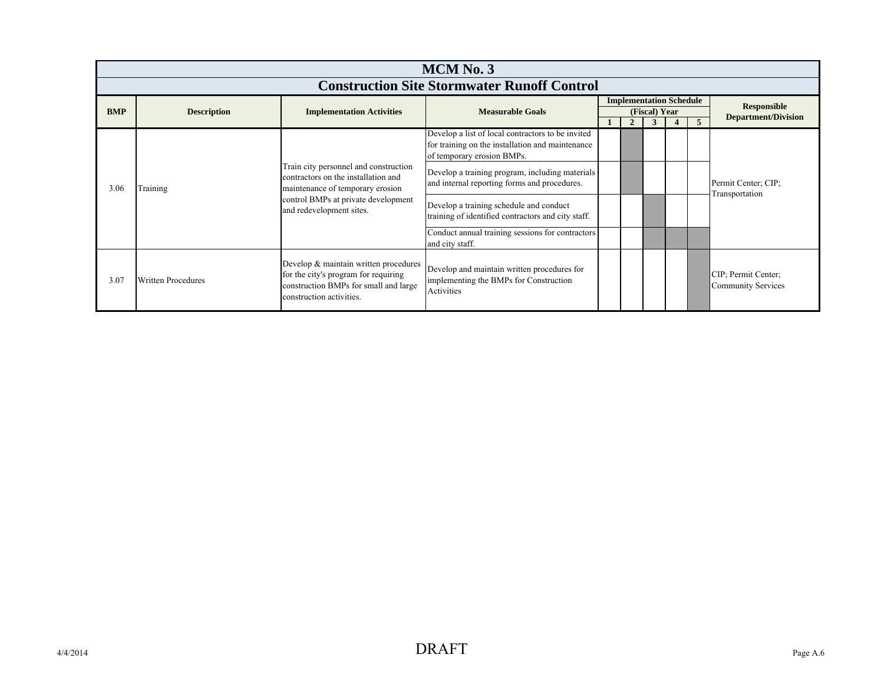|                                                    | <b>MCM No. 3</b>   |                                                                                                                                                    |                                                                                                                                     |  |                                                 |  |  |   |                                                  |  |
|----------------------------------------------------|--------------------|----------------------------------------------------------------------------------------------------------------------------------------------------|-------------------------------------------------------------------------------------------------------------------------------------|--|-------------------------------------------------|--|--|---|--------------------------------------------------|--|
| <b>Construction Site Stormwater Runoff Control</b> |                    |                                                                                                                                                    |                                                                                                                                     |  |                                                 |  |  |   |                                                  |  |
|                                                    |                    |                                                                                                                                                    |                                                                                                                                     |  | <b>Implementation Schedule</b><br>(Fiscal) Year |  |  |   | <b>Responsible</b>                               |  |
| <b>BMP</b>                                         | <b>Description</b> | <b>Implementation Activities</b>                                                                                                                   | <b>Measurable Goals</b>                                                                                                             |  |                                                 |  |  | 5 | <b>Department/Division</b>                       |  |
|                                                    |                    |                                                                                                                                                    | Develop a list of local contractors to be invited<br>for training on the installation and maintenance<br>of temporary erosion BMPs. |  |                                                 |  |  |   |                                                  |  |
| 3.06                                               | Training           | Train city personnel and construction<br>contractors on the installation and<br>maintenance of temporary erosion                                   | Develop a training program, including materials<br>and internal reporting forms and procedures.                                     |  |                                                 |  |  |   | Permit Center; CIP;<br>Transportation            |  |
|                                                    |                    | control BMPs at private development<br>and redevelopment sites.                                                                                    | Develop a training schedule and conduct<br>training of identified contractors and city staff.                                       |  |                                                 |  |  |   |                                                  |  |
|                                                    |                    |                                                                                                                                                    | Conduct annual training sessions for contractors<br>and city staff.                                                                 |  |                                                 |  |  |   |                                                  |  |
| 3.07                                               | Written Procedures | Develop & maintain written procedures<br>for the city's program for requiring<br>construction BMPs for small and large<br>construction activities. | Develop and maintain written procedures for<br>implementing the BMPs for Construction<br>Activities                                 |  |                                                 |  |  |   | CIP; Permit Center;<br><b>Community Services</b> |  |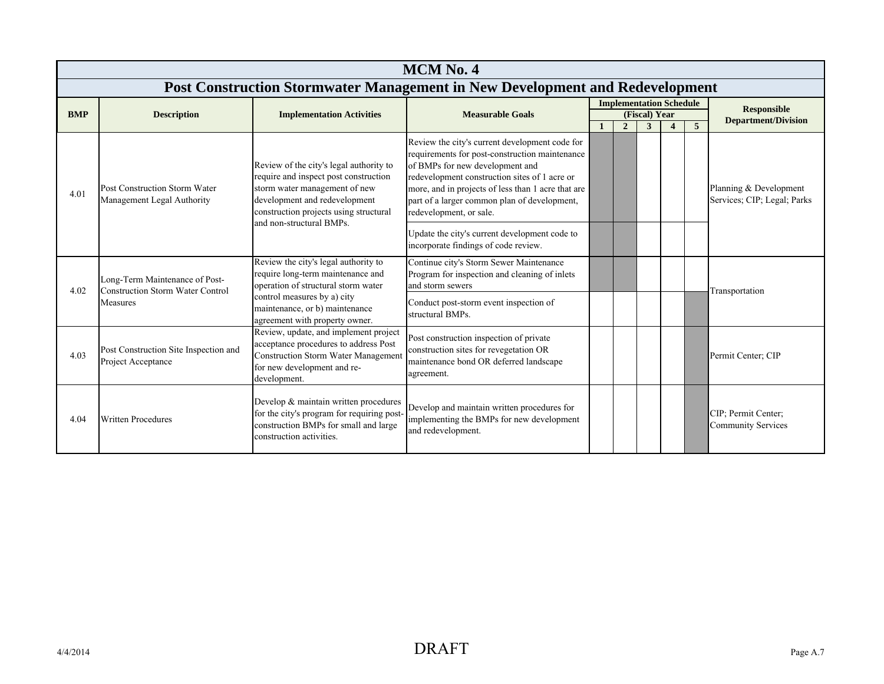|            | <b>MCM No. 4</b>                                                          |                                                                                                                                                                                              |                                                                                                                                                                                                                                                                                                                       |    |                                |                    |  |                 |                                                       |  |  |
|------------|---------------------------------------------------------------------------|----------------------------------------------------------------------------------------------------------------------------------------------------------------------------------------------|-----------------------------------------------------------------------------------------------------------------------------------------------------------------------------------------------------------------------------------------------------------------------------------------------------------------------|----|--------------------------------|--------------------|--|-----------------|-------------------------------------------------------|--|--|
|            |                                                                           |                                                                                                                                                                                              | Post Construction Stormwater Management in New Development and Redevelopment                                                                                                                                                                                                                                          |    |                                |                    |  |                 |                                                       |  |  |
|            |                                                                           |                                                                                                                                                                                              |                                                                                                                                                                                                                                                                                                                       |    | <b>Implementation Schedule</b> |                    |  |                 | <b>Responsible</b>                                    |  |  |
| <b>BMP</b> | <b>Description</b>                                                        | <b>Implementation Activities</b>                                                                                                                                                             | <b>Measurable Goals</b>                                                                                                                                                                                                                                                                                               | -1 | $\overline{2}$                 | (Fiscal) Year<br>3 |  | $5\overline{5}$ | <b>Department/Division</b>                            |  |  |
| 4.01       | Post Construction Storm Water<br>Management Legal Authority               | Review of the city's legal authority to<br>require and inspect post construction<br>storm water management of new<br>development and redevelopment<br>construction projects using structural | Review the city's current development code for<br>requirements for post-construction maintenance<br>of BMPs for new development and<br>redevelopment construction sites of 1 acre or<br>more, and in projects of less than 1 acre that are<br>part of a larger common plan of development,<br>redevelopment, or sale. |    |                                |                    |  |                 | Planning & Development<br>Services; CIP; Legal; Parks |  |  |
|            |                                                                           | and non-structural BMPs.                                                                                                                                                                     | Update the city's current development code to<br>incorporate findings of code review.                                                                                                                                                                                                                                 |    |                                |                    |  |                 |                                                       |  |  |
| 4.02       | Long-Term Maintenance of Post-<br><b>Construction Storm Water Control</b> | Review the city's legal authority to<br>require long-term maintenance and<br>operation of structural storm water                                                                             | Continue city's Storm Sewer Maintenance<br>Program for inspection and cleaning of inlets<br>and storm sewers                                                                                                                                                                                                          |    |                                |                    |  |                 | Transportation                                        |  |  |
|            | Measures                                                                  | control measures by a) city<br>maintenance, or b) maintenance<br>agreement with property owner.                                                                                              | Conduct post-storm event inspection of<br>structural BMPs.                                                                                                                                                                                                                                                            |    |                                |                    |  |                 |                                                       |  |  |
| 4.03       | Post Construction Site Inspection and<br>Project Acceptance               | Review, update, and implement project<br>acceptance procedures to address Post<br><b>Construction Storm Water Management</b><br>for new development and re-<br>development.                  | Post construction inspection of private<br>construction sites for revegetation OR<br>maintenance bond OR deferred landscape<br>agreement.                                                                                                                                                                             |    |                                |                    |  |                 | Permit Center; CIP                                    |  |  |
| 4.04       | <b>Written Procedures</b>                                                 | Develop & maintain written procedures<br>for the city's program for requiring post-<br>construction BMPs for small and large<br>construction activities.                                     | Develop and maintain written procedures for<br>implementing the BMPs for new development<br>and redevelopment.                                                                                                                                                                                                        |    |                                |                    |  |                 | CIP; Permit Center;<br><b>Community Services</b>      |  |  |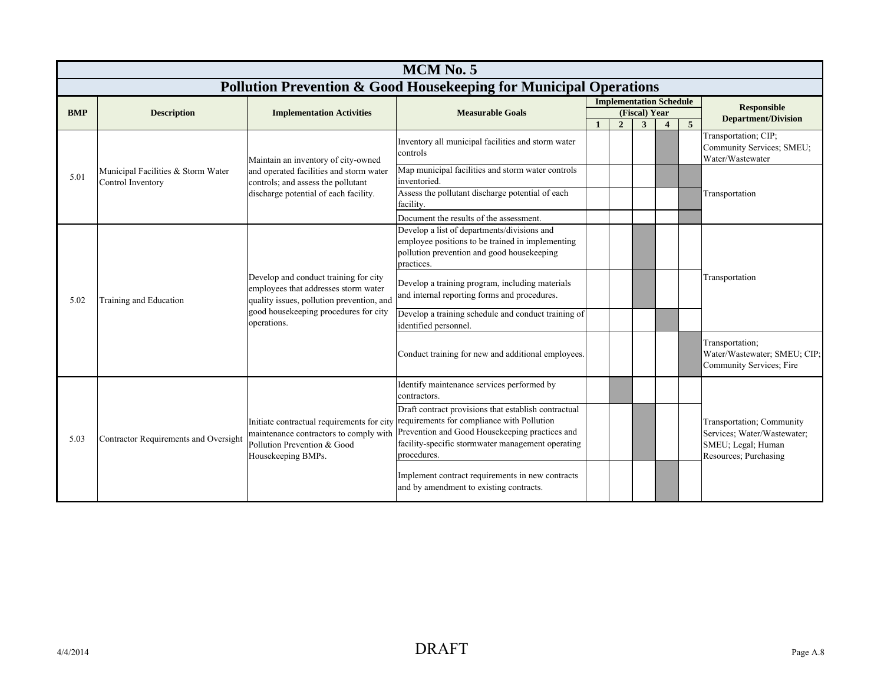|            | MCM No. 5                                               |                                                                                                                            |                                                                                                                                                                                                                                                                                                            |  |                |                    |                                |                |                                                                                                         |  |  |  |
|------------|---------------------------------------------------------|----------------------------------------------------------------------------------------------------------------------------|------------------------------------------------------------------------------------------------------------------------------------------------------------------------------------------------------------------------------------------------------------------------------------------------------------|--|----------------|--------------------|--------------------------------|----------------|---------------------------------------------------------------------------------------------------------|--|--|--|
|            |                                                         |                                                                                                                            | <b>Pollution Prevention &amp; Good Housekeeping for Municipal Operations</b>                                                                                                                                                                                                                               |  |                |                    |                                |                |                                                                                                         |  |  |  |
|            |                                                         |                                                                                                                            |                                                                                                                                                                                                                                                                                                            |  |                |                    | <b>Implementation Schedule</b> |                | <b>Responsible</b>                                                                                      |  |  |  |
| <b>BMP</b> | <b>Description</b>                                      | <b>Implementation Activities</b>                                                                                           | <b>Measurable Goals</b>                                                                                                                                                                                                                                                                                    |  | $\overline{2}$ | (Fiscal) Year<br>3 | $\boldsymbol{4}$               | 5 <sup>5</sup> | <b>Department/Division</b>                                                                              |  |  |  |
|            |                                                         | Maintain an inventory of city-owned                                                                                        | Inventory all municipal facilities and storm water<br>controls                                                                                                                                                                                                                                             |  |                |                    |                                |                | Transportation; CIP;<br>Community Services; SMEU;<br>Water/Wastewater                                   |  |  |  |
| 5.01       | Municipal Facilities & Storm Water<br>Control Inventory | and operated facilities and storm water<br>controls; and assess the pollutant                                              | Map municipal facilities and storm water controls<br>inventoried.                                                                                                                                                                                                                                          |  |                |                    |                                |                |                                                                                                         |  |  |  |
|            |                                                         | discharge potential of each facility.                                                                                      | Assess the pollutant discharge potential of each<br>facility.                                                                                                                                                                                                                                              |  |                |                    |                                |                | Transportation                                                                                          |  |  |  |
|            |                                                         |                                                                                                                            | Document the results of the assessment.                                                                                                                                                                                                                                                                    |  |                |                    |                                |                |                                                                                                         |  |  |  |
|            |                                                         |                                                                                                                            | Develop a list of departments/divisions and<br>employee positions to be trained in implementing<br>pollution prevention and good housekeeping<br>practices.                                                                                                                                                |  |                |                    |                                |                |                                                                                                         |  |  |  |
| 5.02       | Training and Education                                  | Develop and conduct training for city<br>employees that addresses storm water<br>quality issues, pollution prevention, and | Develop a training program, including materials<br>and internal reporting forms and procedures.                                                                                                                                                                                                            |  |                |                    |                                |                | Transportation                                                                                          |  |  |  |
|            |                                                         | good housekeeping procedures for city<br>operations.                                                                       | Develop a training schedule and conduct training of<br>identified personnel.                                                                                                                                                                                                                               |  |                |                    |                                |                |                                                                                                         |  |  |  |
|            |                                                         |                                                                                                                            | Conduct training for new and additional employees.                                                                                                                                                                                                                                                         |  |                |                    |                                |                | Transportation;<br>Water/Wastewater; SMEU; CIP;<br>Community Services; Fire                             |  |  |  |
|            |                                                         |                                                                                                                            | Identify maintenance services performed by<br>contractors.                                                                                                                                                                                                                                                 |  |                |                    |                                |                |                                                                                                         |  |  |  |
| 5.03       | Contractor Requirements and Oversight                   | Pollution Prevention & Good<br>Housekeeping BMPs.                                                                          | Draft contract provisions that establish contractual<br>Initiate contractual requirements for city requirements for compliance with Pollution<br>maintenance contractors to comply with Prevention and Good Housekeeping practices and<br>facility-specific stormwater management operating<br>procedures. |  |                |                    |                                |                | Transportation; Community<br>Services; Water/Wastewater;<br>SMEU; Legal; Human<br>Resources; Purchasing |  |  |  |
|            |                                                         |                                                                                                                            | Implement contract requirements in new contracts<br>and by amendment to existing contracts.                                                                                                                                                                                                                |  |                |                    |                                |                |                                                                                                         |  |  |  |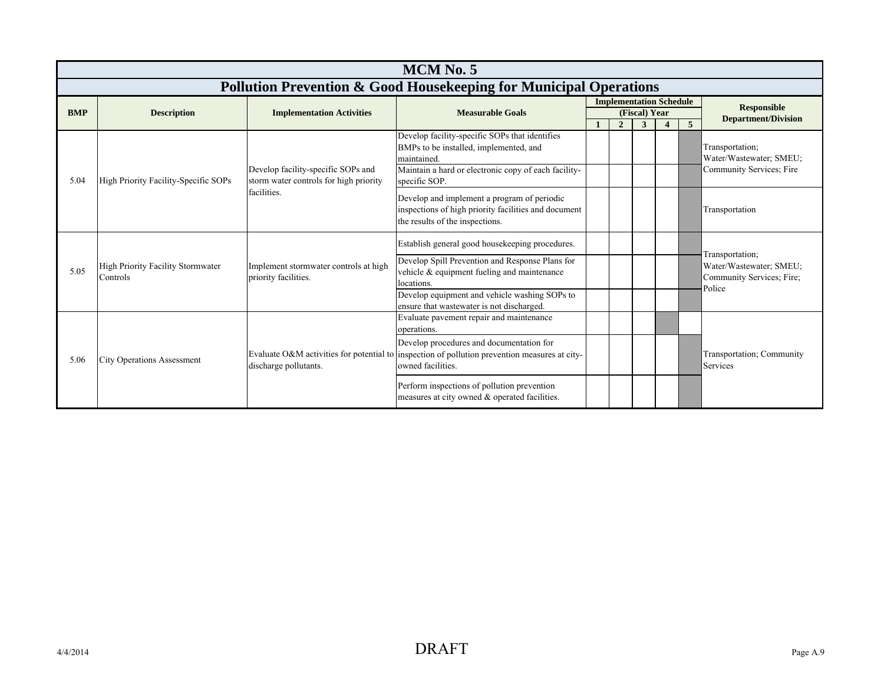|            | <b>MCM No. 5</b>                                                                                               |                                                                              |                                                                                                                                                                |  |                |               |  |  |                                                      |  |  |  |  |
|------------|----------------------------------------------------------------------------------------------------------------|------------------------------------------------------------------------------|----------------------------------------------------------------------------------------------------------------------------------------------------------------|--|----------------|---------------|--|--|------------------------------------------------------|--|--|--|--|
|            | <b>Pollution Prevention &amp; Good Housekeeping for Municipal Operations</b><br><b>Implementation Schedule</b> |                                                                              |                                                                                                                                                                |  |                |               |  |  |                                                      |  |  |  |  |
| <b>BMP</b> | <b>Description</b>                                                                                             | <b>Implementation Activities</b>                                             | <b>Measurable Goals</b>                                                                                                                                        |  |                | (Fiscal) Year |  |  | <b>Responsible</b>                                   |  |  |  |  |
|            |                                                                                                                |                                                                              |                                                                                                                                                                |  | $\overline{2}$ | 3             |  |  | <b>Department/Division</b>                           |  |  |  |  |
|            |                                                                                                                |                                                                              | Develop facility-specific SOPs that identifies<br>BMPs to be installed, implemented, and<br>maintained                                                         |  |                |               |  |  | Transportation;<br>Water/Wastewater; SMEU;           |  |  |  |  |
| 5.04       | High Priority Facility-Specific SOPs                                                                           | Develop facility-specific SOPs and<br>storm water controls for high priority | Maintain a hard or electronic copy of each facility-<br>specific SOP.                                                                                          |  |                |               |  |  | Community Services; Fire                             |  |  |  |  |
|            |                                                                                                                | facilities.                                                                  | Develop and implement a program of periodic<br>inspections of high priority facilities and document<br>the results of the inspections.                         |  |                |               |  |  | Transportation                                       |  |  |  |  |
|            |                                                                                                                |                                                                              | Establish general good housekeeping procedures.                                                                                                                |  |                |               |  |  | Transportation;                                      |  |  |  |  |
| 5.05       | <b>High Priority Facility Stormwater</b><br>Controls                                                           | Implement stormwater controls at high<br>priority facilities.                | Develop Spill Prevention and Response Plans for<br>vehicle & equipment fueling and maintenance                                                                 |  |                |               |  |  | Water/Wastewater; SMEU;<br>Community Services; Fire; |  |  |  |  |
|            |                                                                                                                |                                                                              | locations.<br>Develop equipment and vehicle washing SOPs to<br>ensure that wastewater is not discharged.                                                       |  |                |               |  |  | Police                                               |  |  |  |  |
|            |                                                                                                                |                                                                              | Evaluate pavement repair and maintenance<br>operations.                                                                                                        |  |                |               |  |  |                                                      |  |  |  |  |
| 5.06       | <b>City Operations Assessment</b>                                                                              | discharge pollutants.                                                        | Develop procedures and documentation for<br>Evaluate O&M activities for potential to inspection of pollution prevention measures at city-<br>owned facilities. |  |                |               |  |  | Transportation; Community<br>Services                |  |  |  |  |
|            |                                                                                                                |                                                                              | Perform inspections of pollution prevention<br>measures at city owned & operated facilities.                                                                   |  |                |               |  |  |                                                      |  |  |  |  |